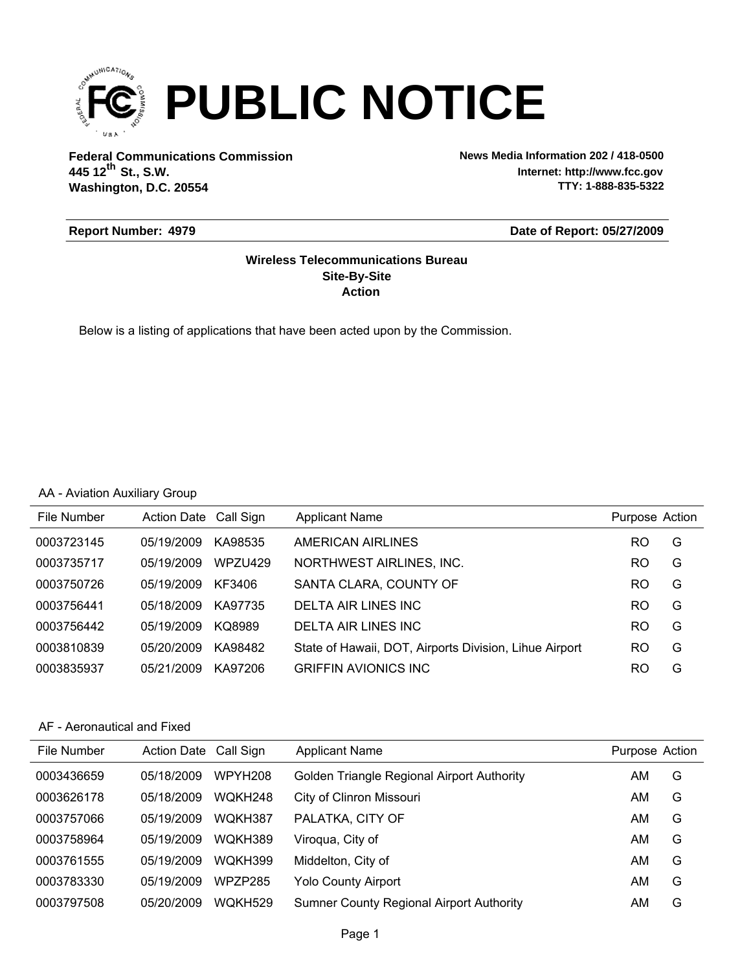

**Federal Communications Commission News Media Information 202 / 418-0500 Washington, D.C. 20554 th 445 12 St., S.W.**

**Internet: http://www.fcc.gov TTY: 1-888-835-5322**

#### **Report Number: 4979**

#### **Date of Report: 05/27/2009**

#### **Action Site-By-Site Wireless Telecommunications Bureau**

Below is a listing of applications that have been acted upon by the Commission.

#### AA - Aviation Auxiliary Group

| File Number | Action Date Call Sign |         | <b>Applicant Name</b>                                  | Purpose Action |   |
|-------------|-----------------------|---------|--------------------------------------------------------|----------------|---|
| 0003723145  | 05/19/2009            | KA98535 | AMERICAN AIRLINES                                      | RO             | G |
| 0003735717  | 05/19/2009            | WPZU429 | NORTHWEST AIRLINES, INC.                               | RO             | G |
| 0003750726  | 05/19/2009            | KF3406  | SANTA CLARA, COUNTY OF                                 | RO             | G |
| 0003756441  | 05/18/2009            | KA97735 | DELTA AIR LINES INC                                    | R <sub>O</sub> | G |
| 0003756442  | 05/19/2009            | KQ8989  | DELTA AIR LINES INC                                    | R <sub>O</sub> | G |
| 0003810839  | 05/20/2009            | KA98482 | State of Hawaii, DOT, Airports Division, Lihue Airport | RO             | G |
| 0003835937  | 05/21/2009            | KA97206 | <b>GRIFFIN AVIONICS INC</b>                            | RO             | G |

#### AF - Aeronautical and Fixed

| File Number | Action Date Call Sign |                     | <b>Applicant Name</b>                           | Purpose Action |   |
|-------------|-----------------------|---------------------|-------------------------------------------------|----------------|---|
| 0003436659  | 05/18/2009            | WPYH <sub>208</sub> | Golden Triangle Regional Airport Authority      | AM             | G |
| 0003626178  | 05/18/2009            | WOKH248             | City of Clinron Missouri                        | AM             | G |
| 0003757066  | 05/19/2009            | WOKH387             | PALATKA, CITY OF                                | AM             | G |
| 0003758964  | 05/19/2009            | WOKH389             | Viroqua, City of                                | AM             | G |
| 0003761555  | 05/19/2009            | <b>WOKH399</b>      | Middelton, City of                              | AM             | G |
| 0003783330  | 05/19/2009            | WPZP285             | Yolo County Airport                             | AM             | G |
| 0003797508  | 05/20/2009            | WOKH529             | <b>Sumner County Regional Airport Authority</b> | AM             | G |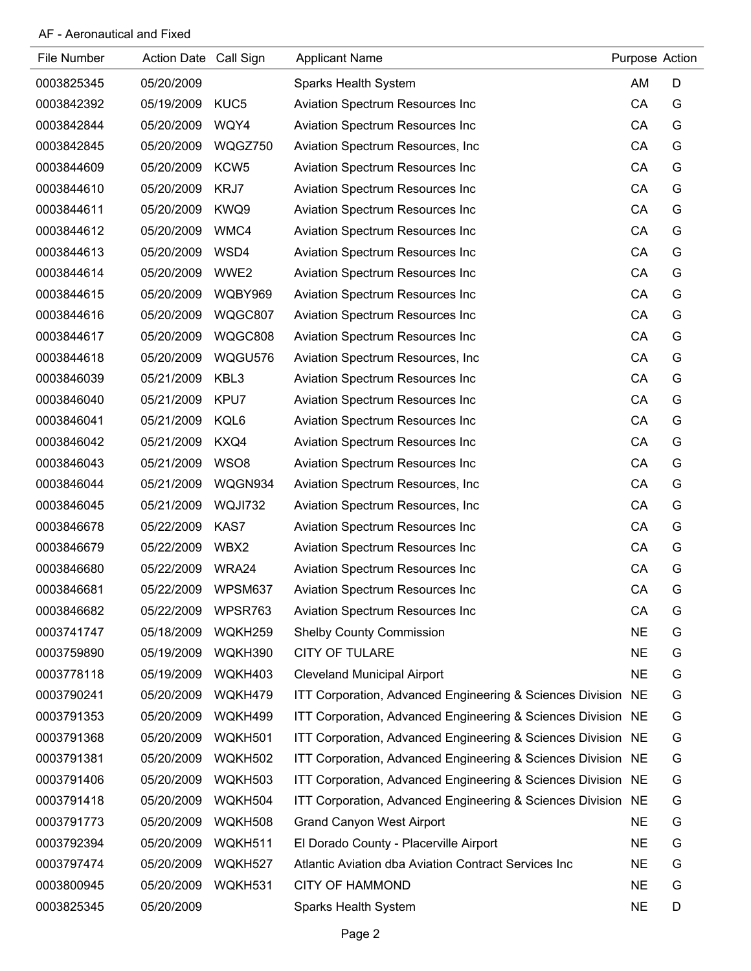### AF - Aeronautical and Fixed

| File Number | <b>Action Date</b> | Call Sign        | <b>Applicant Name</b>                                        | Purpose Action |   |
|-------------|--------------------|------------------|--------------------------------------------------------------|----------------|---|
| 0003825345  | 05/20/2009         |                  | Sparks Health System                                         | AM             | D |
| 0003842392  | 05/19/2009         | KUC <sub>5</sub> | Aviation Spectrum Resources Inc                              | CA             | G |
| 0003842844  | 05/20/2009         | WQY4             | Aviation Spectrum Resources Inc                              | CA             | G |
| 0003842845  | 05/20/2009         | WQGZ750          | Aviation Spectrum Resources, Inc.                            | CA             | G |
| 0003844609  | 05/20/2009         | KCW <sub>5</sub> | Aviation Spectrum Resources Inc                              | CA             | G |
| 0003844610  | 05/20/2009         | KRJ7             | Aviation Spectrum Resources Inc                              | CA             | G |
| 0003844611  | 05/20/2009         | KWQ9             | Aviation Spectrum Resources Inc                              | CA             | G |
| 0003844612  | 05/20/2009         | WMC4             | Aviation Spectrum Resources Inc                              | CA             | G |
| 0003844613  | 05/20/2009         | WSD4             | Aviation Spectrum Resources Inc                              | CA             | G |
| 0003844614  | 05/20/2009         | WWE2             | Aviation Spectrum Resources Inc                              | CA             | G |
| 0003844615  | 05/20/2009         | WQBY969          | Aviation Spectrum Resources Inc                              | CA             | G |
| 0003844616  | 05/20/2009         | WQGC807          | Aviation Spectrum Resources Inc                              | CA             | G |
| 0003844617  | 05/20/2009         | WQGC808          | Aviation Spectrum Resources Inc                              | CA             | G |
| 0003844618  | 05/20/2009         | WQGU576          | Aviation Spectrum Resources, Inc.                            | CA             | G |
| 0003846039  | 05/21/2009         | KBL3             | Aviation Spectrum Resources Inc                              | CA             | G |
| 0003846040  | 05/21/2009         | KPU7             | Aviation Spectrum Resources Inc                              | CA             | G |
| 0003846041  | 05/21/2009         | KQL6             | Aviation Spectrum Resources Inc                              | CA             | G |
| 0003846042  | 05/21/2009         | KXQ4             | Aviation Spectrum Resources Inc                              | CA             | G |
| 0003846043  | 05/21/2009         | WSO8             | Aviation Spectrum Resources Inc                              | CA             | G |
| 0003846044  | 05/21/2009         | WQGN934          | Aviation Spectrum Resources, Inc.                            | CA             | G |
| 0003846045  | 05/21/2009         | WQJI732          | Aviation Spectrum Resources, Inc.                            | CA             | G |
| 0003846678  | 05/22/2009         | KAS7             | Aviation Spectrum Resources Inc                              | CA             | G |
| 0003846679  | 05/22/2009         | WBX2             | Aviation Spectrum Resources Inc                              | CA             | G |
| 0003846680  | 05/22/2009         | WRA24            | Aviation Spectrum Resources Inc                              | CA             | G |
| 0003846681  | 05/22/2009         | WPSM637          | <b>Aviation Spectrum Resources Inc.</b>                      | CA             | G |
| 0003846682  | 05/22/2009         | WPSR763          | <b>Aviation Spectrum Resources Inc.</b>                      | CA             | G |
| 0003741747  | 05/18/2009         | WQKH259          | <b>Shelby County Commission</b>                              | <b>NE</b>      | G |
| 0003759890  | 05/19/2009         | WQKH390          | <b>CITY OF TULARE</b>                                        | <b>NE</b>      | G |
| 0003778118  | 05/19/2009         | WQKH403          | <b>Cleveland Municipal Airport</b>                           | <b>NE</b>      | G |
| 0003790241  | 05/20/2009         | WQKH479          | ITT Corporation, Advanced Engineering & Sciences Division NE |                | G |
| 0003791353  | 05/20/2009         | WQKH499          | ITT Corporation, Advanced Engineering & Sciences Division NE |                | G |
| 0003791368  | 05/20/2009         | WQKH501          | ITT Corporation, Advanced Engineering & Sciences Division NE |                | G |
| 0003791381  | 05/20/2009         | WQKH502          | ITT Corporation, Advanced Engineering & Sciences Division NE |                | G |
| 0003791406  | 05/20/2009         | WQKH503          | ITT Corporation, Advanced Engineering & Sciences Division NE |                | G |
| 0003791418  | 05/20/2009         | WQKH504          | ITT Corporation, Advanced Engineering & Sciences Division NE |                | G |
| 0003791773  | 05/20/2009         | WQKH508          | <b>Grand Canyon West Airport</b>                             | <b>NE</b>      | G |
| 0003792394  | 05/20/2009         | WQKH511          | El Dorado County - Placerville Airport                       | <b>NE</b>      | G |
| 0003797474  | 05/20/2009         | WQKH527          | Atlantic Aviation dba Aviation Contract Services Inc         | <b>NE</b>      | G |
| 0003800945  | 05/20/2009         | WQKH531          | <b>CITY OF HAMMOND</b>                                       | <b>NE</b>      | G |
| 0003825345  | 05/20/2009         |                  | Sparks Health System                                         | <b>NE</b>      | D |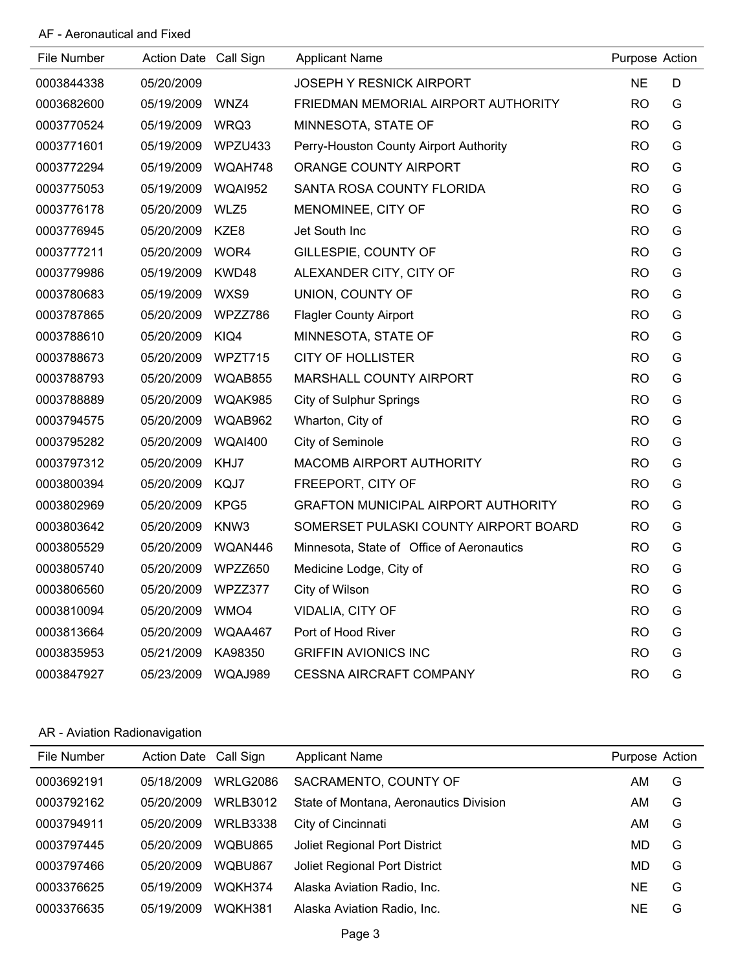### AF - Aeronautical and Fixed

| File Number | Action Date Call Sign |                | <b>Applicant Name</b>                      | Purpose Action |   |
|-------------|-----------------------|----------------|--------------------------------------------|----------------|---|
| 0003844338  | 05/20/2009            |                | <b>JOSEPH Y RESNICK AIRPORT</b>            | <b>NE</b>      | D |
| 0003682600  | 05/19/2009            | WNZ4           | FRIEDMAN MEMORIAL AIRPORT AUTHORITY        | RO.            | G |
| 0003770524  | 05/19/2009            | WRQ3           | MINNESOTA, STATE OF                        | <b>RO</b>      | G |
| 0003771601  | 05/19/2009            | WPZU433        | Perry-Houston County Airport Authority     | <b>RO</b>      | G |
| 0003772294  | 05/19/2009            | WQAH748        | ORANGE COUNTY AIRPORT                      | <b>RO</b>      | G |
| 0003775053  | 05/19/2009            | <b>WQAI952</b> | SANTA ROSA COUNTY FLORIDA                  | RO.            | G |
| 0003776178  | 05/20/2009            | WLZ5           | MENOMINEE, CITY OF                         | <b>RO</b>      | G |
| 0003776945  | 05/20/2009            | KZE8           | Jet South Inc                              | <b>RO</b>      | G |
| 0003777211  | 05/20/2009            | WOR4           | GILLESPIE, COUNTY OF                       | <b>RO</b>      | G |
| 0003779986  | 05/19/2009            | KWD48          | ALEXANDER CITY, CITY OF                    | <b>RO</b>      | G |
| 0003780683  | 05/19/2009            | WXS9           | UNION, COUNTY OF                           | <b>RO</b>      | G |
| 0003787865  | 05/20/2009            | WPZZ786        | <b>Flagler County Airport</b>              | <b>RO</b>      | G |
| 0003788610  | 05/20/2009            | KIQ4           | MINNESOTA, STATE OF                        | <b>RO</b>      | G |
| 0003788673  | 05/20/2009            | WPZT715        | <b>CITY OF HOLLISTER</b>                   | <b>RO</b>      | G |
| 0003788793  | 05/20/2009            | WQAB855        | MARSHALL COUNTY AIRPORT                    | <b>RO</b>      | G |
| 0003788889  | 05/20/2009            | WQAK985        | <b>City of Sulphur Springs</b>             | <b>RO</b>      | G |
| 0003794575  | 05/20/2009            | WQAB962        | Wharton, City of                           | RO.            | G |
| 0003795282  | 05/20/2009            | <b>WQAI400</b> | City of Seminole                           | RO.            | G |
| 0003797312  | 05/20/2009            | KHJ7           | <b>MACOMB AIRPORT AUTHORITY</b>            | RO.            | G |
| 0003800394  | 05/20/2009            | KQJ7           | FREEPORT, CITY OF                          | <b>RO</b>      | G |
| 0003802969  | 05/20/2009            | KPG5           | <b>GRAFTON MUNICIPAL AIRPORT AUTHORITY</b> | RO.            | G |
| 0003803642  | 05/20/2009            | KNW3           | SOMERSET PULASKI COUNTY AIRPORT BOARD      | <b>RO</b>      | G |
| 0003805529  | 05/20/2009            | WQAN446        | Minnesota, State of Office of Aeronautics  | <b>RO</b>      | G |
| 0003805740  | 05/20/2009            | WPZZ650        | Medicine Lodge, City of                    | <b>RO</b>      | G |
| 0003806560  | 05/20/2009            | WPZZ377        | City of Wilson                             | <b>RO</b>      | G |
| 0003810094  | 05/20/2009            | WMO4           | VIDALIA, CITY OF                           | <b>RO</b>      | G |
| 0003813664  | 05/20/2009            | WQAA467        | Port of Hood River                         | <b>RO</b>      | G |
| 0003835953  | 05/21/2009            | KA98350        | <b>GRIFFIN AVIONICS INC</b>                | <b>RO</b>      | G |
| 0003847927  | 05/23/2009            | WQAJ989        | <b>CESSNA AIRCRAFT COMPANY</b>             | <b>RO</b>      | G |

## AR - Aviation Radionavigation

| File Number | <b>Action Date</b> | Call Sign       | <b>Applicant Name</b>                  | Purpose Action |   |
|-------------|--------------------|-----------------|----------------------------------------|----------------|---|
| 0003692191  | 05/18/2009         | <b>WRLG2086</b> | SACRAMENTO, COUNTY OF                  | AM             | G |
| 0003792162  | 05/20/2009         | <b>WRLB3012</b> | State of Montana, Aeronautics Division | ΑM             | G |
| 0003794911  | 05/20/2009         | <b>WRLB3338</b> | City of Cincinnati                     | AM             | G |
| 0003797445  | 05/20/2009         | WQBU865         | <b>Joliet Regional Port District</b>   | MD             | G |
| 0003797466  | 05/20/2009         | WQBU867         | <b>Joliet Regional Port District</b>   | MD             | G |
| 0003376625  | 05/19/2009         | WOKH374         | Alaska Aviation Radio, Inc.            | <b>NE</b>      | G |
| 0003376635  | 05/19/2009         | WOKH381         | Alaska Aviation Radio, Inc.            | <b>NE</b>      | G |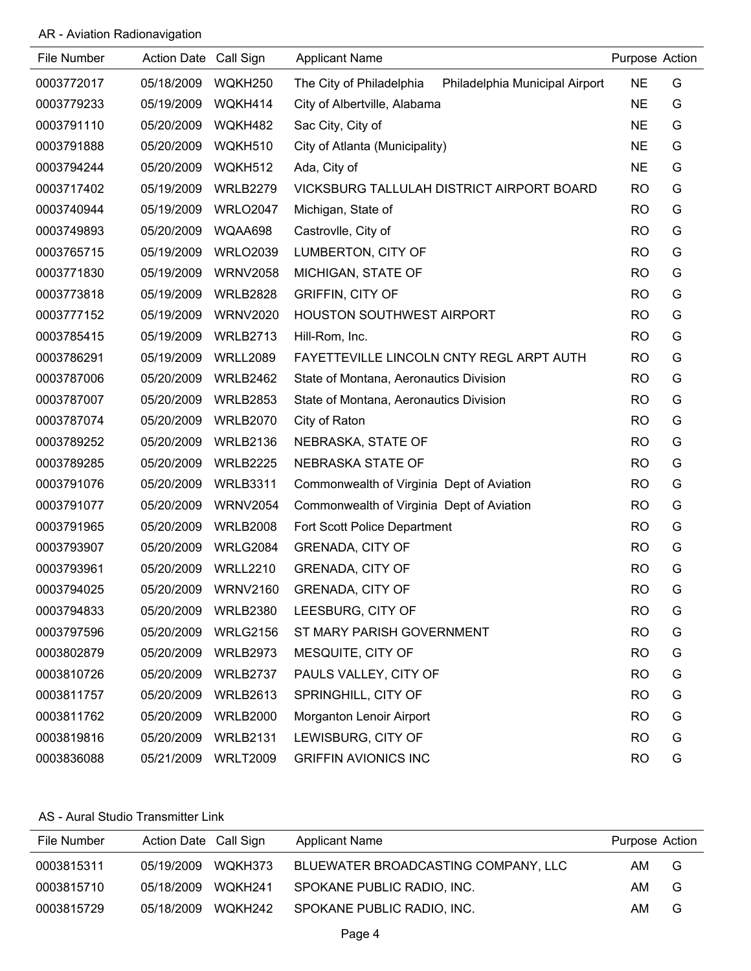## AR - Aviation Radionavigation

| File Number | Action Date Call Sign |                 | <b>Applicant Name</b>                                      | Purpose Action |   |
|-------------|-----------------------|-----------------|------------------------------------------------------------|----------------|---|
| 0003772017  | 05/18/2009            | WQKH250         | Philadelphia Municipal Airport<br>The City of Philadelphia | <b>NE</b>      | G |
| 0003779233  | 05/19/2009            | WQKH414         | City of Albertville, Alabama                               | <b>NE</b>      | G |
| 0003791110  | 05/20/2009            | WQKH482         | Sac City, City of                                          | <b>NE</b>      | G |
| 0003791888  | 05/20/2009            | WQKH510         | City of Atlanta (Municipality)                             | <b>NE</b>      | G |
| 0003794244  | 05/20/2009            | WQKH512         | Ada, City of                                               | <b>NE</b>      | G |
| 0003717402  | 05/19/2009            | <b>WRLB2279</b> | VICKSBURG TALLULAH DISTRICT AIRPORT BOARD                  | <b>RO</b>      | G |
| 0003740944  | 05/19/2009            | <b>WRLO2047</b> | Michigan, State of                                         | <b>RO</b>      | G |
| 0003749893  | 05/20/2009            | WQAA698         | Castrovlle, City of                                        | <b>RO</b>      | G |
| 0003765715  | 05/19/2009            | <b>WRLO2039</b> | LUMBERTON, CITY OF                                         | <b>RO</b>      | G |
| 0003771830  | 05/19/2009            | <b>WRNV2058</b> | MICHIGAN, STATE OF                                         | <b>RO</b>      | G |
| 0003773818  | 05/19/2009            | <b>WRLB2828</b> | <b>GRIFFIN, CITY OF</b>                                    | <b>RO</b>      | G |
| 0003777152  | 05/19/2009            | <b>WRNV2020</b> | <b>HOUSTON SOUTHWEST AIRPORT</b>                           | <b>RO</b>      | G |
| 0003785415  | 05/19/2009            | <b>WRLB2713</b> | Hill-Rom, Inc.                                             | <b>RO</b>      | G |
| 0003786291  | 05/19/2009            | <b>WRLL2089</b> | FAYETTEVILLE LINCOLN CNTY REGL ARPT AUTH                   | <b>RO</b>      | G |
| 0003787006  | 05/20/2009            | <b>WRLB2462</b> | State of Montana, Aeronautics Division                     | <b>RO</b>      | G |
| 0003787007  | 05/20/2009            | <b>WRLB2853</b> | State of Montana, Aeronautics Division                     | <b>RO</b>      | G |
| 0003787074  | 05/20/2009            | <b>WRLB2070</b> | City of Raton                                              | <b>RO</b>      | G |
| 0003789252  | 05/20/2009            | <b>WRLB2136</b> | NEBRASKA, STATE OF                                         | <b>RO</b>      | G |
| 0003789285  | 05/20/2009            | <b>WRLB2225</b> | NEBRASKA STATE OF                                          | <b>RO</b>      | G |
| 0003791076  | 05/20/2009            | <b>WRLB3311</b> | Commonwealth of Virginia Dept of Aviation                  | <b>RO</b>      | G |
| 0003791077  | 05/20/2009            | <b>WRNV2054</b> | Commonwealth of Virginia Dept of Aviation                  | <b>RO</b>      | G |
| 0003791965  | 05/20/2009            | <b>WRLB2008</b> | Fort Scott Police Department                               | <b>RO</b>      | G |
| 0003793907  | 05/20/2009            | <b>WRLG2084</b> | <b>GRENADA, CITY OF</b>                                    | <b>RO</b>      | G |
| 0003793961  | 05/20/2009            | <b>WRLL2210</b> | <b>GRENADA, CITY OF</b>                                    | <b>RO</b>      | G |
| 0003794025  | 05/20/2009            | <b>WRNV2160</b> | <b>GRENADA, CITY OF</b>                                    | <b>RO</b>      | G |
| 0003794833  | 05/20/2009            | <b>WRLB2380</b> | LEESBURG, CITY OF                                          | <b>RO</b>      | G |
| 0003797596  | 05/20/2009            | <b>WRLG2156</b> | ST MARY PARISH GOVERNMENT                                  | <b>RO</b>      | G |
| 0003802879  | 05/20/2009            | <b>WRLB2973</b> | MESQUITE, CITY OF                                          | <b>RO</b>      | G |
| 0003810726  | 05/20/2009            | <b>WRLB2737</b> | PAULS VALLEY, CITY OF                                      | <b>RO</b>      | G |
| 0003811757  | 05/20/2009            | <b>WRLB2613</b> | SPRINGHILL, CITY OF                                        | <b>RO</b>      | G |
| 0003811762  | 05/20/2009            | <b>WRLB2000</b> | Morganton Lenoir Airport                                   | <b>RO</b>      | G |
| 0003819816  | 05/20/2009            | <b>WRLB2131</b> | LEWISBURG, CITY OF                                         | <b>RO</b>      | G |
| 0003836088  | 05/21/2009            | <b>WRLT2009</b> | <b>GRIFFIN AVIONICS INC</b>                                | <b>RO</b>      | G |

#### AS - Aural Studio Transmitter Link

| File Number | Action Date Call Sign |         | <b>Applicant Name</b>               | Purpose Action |   |
|-------------|-----------------------|---------|-------------------------------------|----------------|---|
| 0003815311  | 05/19/2009            | WOKH373 | BLUEWATER BROADCASTING COMPANY. LLC | AM.            | G |
| 0003815710  | 05/18/2009            | WOKH241 | SPOKANE PUBLIC RADIO, INC.          | AM.            | G |
| 0003815729  | 05/18/2009            | WQKH242 | SPOKANE PUBLIC RADIO, INC.          | AM.            | G |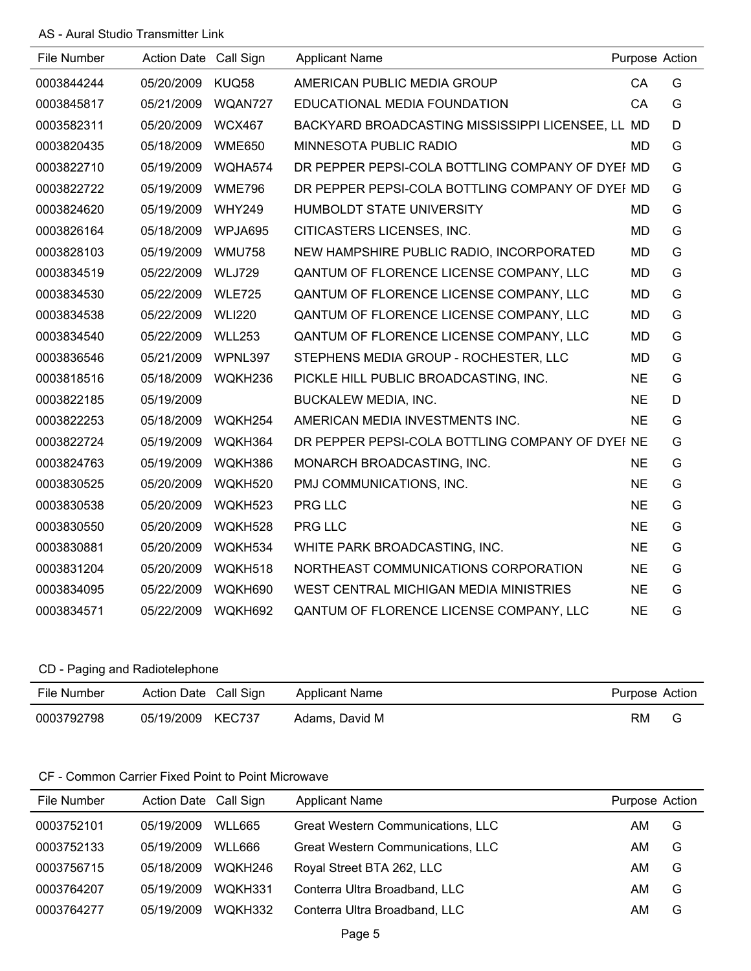### AS - Aural Studio Transmitter Link

| File Number | Action Date Call Sign |               | <b>Applicant Name</b>                             | Purpose Action |   |
|-------------|-----------------------|---------------|---------------------------------------------------|----------------|---|
| 0003844244  | 05/20/2009            | KUQ58         | AMERICAN PUBLIC MEDIA GROUP                       | CA             | G |
| 0003845817  | 05/21/2009            | WQAN727       | EDUCATIONAL MEDIA FOUNDATION                      | CA             | G |
| 0003582311  | 05/20/2009            | <b>WCX467</b> | BACKYARD BROADCASTING MISSISSIPPI LICENSEE, LL MD |                | D |
| 0003820435  | 05/18/2009            | <b>WME650</b> | MINNESOTA PUBLIC RADIO                            | MD             | G |
| 0003822710  | 05/19/2009            | WQHA574       | DR PEPPER PEPSI-COLA BOTTLING COMPANY OF DYEI MD  |                | G |
| 0003822722  | 05/19/2009            | <b>WME796</b> | DR PEPPER PEPSI-COLA BOTTLING COMPANY OF DYEI MD  |                | G |
| 0003824620  | 05/19/2009            | <b>WHY249</b> | HUMBOLDT STATE UNIVERSITY                         | <b>MD</b>      | G |
| 0003826164  | 05/18/2009            | WPJA695       | CITICASTERS LICENSES, INC.                        | <b>MD</b>      | G |
| 0003828103  | 05/19/2009            | <b>WMU758</b> | NEW HAMPSHIRE PUBLIC RADIO, INCORPORATED          | <b>MD</b>      | G |
| 0003834519  | 05/22/2009            | <b>WLJ729</b> | QANTUM OF FLORENCE LICENSE COMPANY, LLC           | <b>MD</b>      | G |
| 0003834530  | 05/22/2009            | <b>WLE725</b> | QANTUM OF FLORENCE LICENSE COMPANY, LLC           | <b>MD</b>      | G |
| 0003834538  | 05/22/2009 WLI220     |               | QANTUM OF FLORENCE LICENSE COMPANY, LLC           | <b>MD</b>      | G |
| 0003834540  | 05/22/2009            | <b>WLL253</b> | QANTUM OF FLORENCE LICENSE COMPANY, LLC           | <b>MD</b>      | G |
| 0003836546  | 05/21/2009            | WPNL397       | STEPHENS MEDIA GROUP - ROCHESTER, LLC             | <b>MD</b>      | G |
| 0003818516  | 05/18/2009            | WQKH236       | PICKLE HILL PUBLIC BROADCASTING, INC.             | <b>NE</b>      | G |
| 0003822185  | 05/19/2009            |               | <b>BUCKALEW MEDIA, INC.</b>                       | <b>NE</b>      | D |
| 0003822253  | 05/18/2009            | WQKH254       | AMERICAN MEDIA INVESTMENTS INC.                   | <b>NE</b>      | G |
| 0003822724  | 05/19/2009            | WQKH364       | DR PEPPER PEPSI-COLA BOTTLING COMPANY OF DYEI NE  |                | G |
| 0003824763  | 05/19/2009            | WQKH386       | MONARCH BROADCASTING, INC.                        | <b>NE</b>      | G |
| 0003830525  | 05/20/2009            | WQKH520       | PMJ COMMUNICATIONS, INC.                          | <b>NE</b>      | G |
| 0003830538  | 05/20/2009            | WQKH523       | PRG LLC                                           | <b>NE</b>      | G |
| 0003830550  | 05/20/2009            | WQKH528       | <b>PRG LLC</b>                                    | <b>NE</b>      | G |
| 0003830881  | 05/20/2009            | WQKH534       | WHITE PARK BROADCASTING, INC.                     | <b>NE</b>      | G |
| 0003831204  | 05/20/2009            | WQKH518       | NORTHEAST COMMUNICATIONS CORPORATION              | <b>NE</b>      | G |
| 0003834095  | 05/22/2009            | WQKH690       | WEST CENTRAL MICHIGAN MEDIA MINISTRIES            | <b>NE</b>      | G |
| 0003834571  | 05/22/2009            | WQKH692       | QANTUM OF FLORENCE LICENSE COMPANY, LLC           | <b>NE</b>      | G |

# CD - Paging and Radiotelephone

| File Number | Action Date Call Sign | Applicant Name | Purpose Action |  |
|-------------|-----------------------|----------------|----------------|--|
| 0003792798  | 05/19/2009 KEC737     | Adams, David M | RM             |  |

## CF - Common Carrier Fixed Point to Point Microwave

| File Number | Action Date Call Sign |         | <b>Applicant Name</b>                    | Purpose Action |   |
|-------------|-----------------------|---------|------------------------------------------|----------------|---|
| 0003752101  | 05/19/2009            | WLL665  | <b>Great Western Communications, LLC</b> | AM             | G |
| 0003752133  | 05/19/2009            | WLL666  | <b>Great Western Communications, LLC</b> | AM             | G |
| 0003756715  | 05/18/2009            | WOKH246 | Royal Street BTA 262, LLC                | AM             | G |
| 0003764207  | 05/19/2009            | WOKH331 | Conterra Ultra Broadband, LLC            | AM             | G |
| 0003764277  | 05/19/2009            | WOKH332 | Conterra Ultra Broadband, LLC            | AM             | G |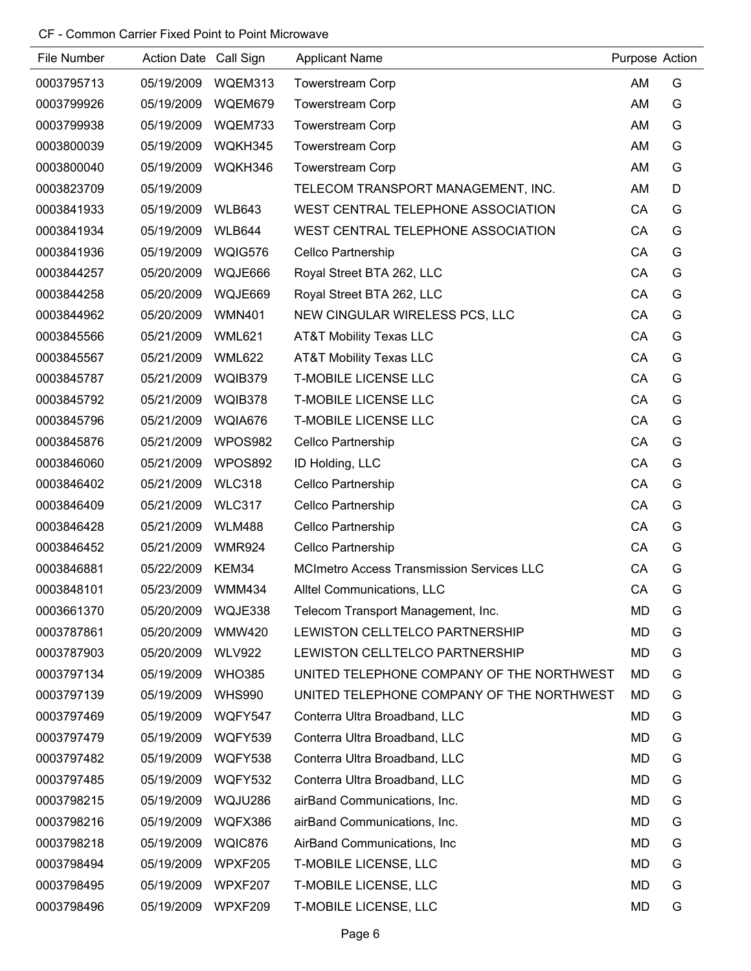### CF - Common Carrier Fixed Point to Point Microwave

| File Number | Action Date Call Sign |               | <b>Applicant Name</b>                            | Purpose Action |   |
|-------------|-----------------------|---------------|--------------------------------------------------|----------------|---|
| 0003795713  | 05/19/2009            | WQEM313       | <b>Towerstream Corp</b>                          | AM             | G |
| 0003799926  | 05/19/2009            | WQEM679       | <b>Towerstream Corp</b>                          | AM             | G |
| 0003799938  | 05/19/2009            | WQEM733       | <b>Towerstream Corp</b>                          | AM             | G |
| 0003800039  | 05/19/2009            | WQKH345       | <b>Towerstream Corp</b>                          | AM             | G |
| 0003800040  | 05/19/2009            | WQKH346       | <b>Towerstream Corp</b>                          | AM             | G |
| 0003823709  | 05/19/2009            |               | TELECOM TRANSPORT MANAGEMENT, INC.               | AM             | D |
| 0003841933  | 05/19/2009            | <b>WLB643</b> | WEST CENTRAL TELEPHONE ASSOCIATION               | CA             | G |
| 0003841934  | 05/19/2009            | <b>WLB644</b> | WEST CENTRAL TELEPHONE ASSOCIATION               | CA             | G |
| 0003841936  | 05/19/2009            | WQIG576       | Cellco Partnership                               | CA             | G |
| 0003844257  | 05/20/2009            | WQJE666       | Royal Street BTA 262, LLC                        | CA             | G |
| 0003844258  | 05/20/2009            | WQJE669       | Royal Street BTA 262, LLC                        | CA             | G |
| 0003844962  | 05/20/2009            | <b>WMN401</b> | NEW CINGULAR WIRELESS PCS, LLC                   | CA             | G |
| 0003845566  | 05/21/2009            | <b>WML621</b> | <b>AT&amp;T Mobility Texas LLC</b>               | CA             | G |
| 0003845567  | 05/21/2009            | <b>WML622</b> | <b>AT&amp;T Mobility Texas LLC</b>               | CA             | G |
| 0003845787  | 05/21/2009            | WQIB379       | <b>T-MOBILE LICENSE LLC</b>                      | CA             | G |
| 0003845792  | 05/21/2009            | WQIB378       | <b>T-MOBILE LICENSE LLC</b>                      | CA             | G |
| 0003845796  | 05/21/2009            | WQIA676       | <b>T-MOBILE LICENSE LLC</b>                      | CA             | G |
| 0003845876  | 05/21/2009            | WPOS982       | Cellco Partnership                               | CA             | G |
| 0003846060  | 05/21/2009            | WPOS892       | ID Holding, LLC                                  | CA             | G |
| 0003846402  | 05/21/2009            | <b>WLC318</b> | Cellco Partnership                               | CA             | G |
| 0003846409  | 05/21/2009            | <b>WLC317</b> | Cellco Partnership                               | CA             | G |
| 0003846428  | 05/21/2009            | <b>WLM488</b> | Cellco Partnership                               | CA             | G |
| 0003846452  | 05/21/2009            | <b>WMR924</b> | Cellco Partnership                               | CA             | G |
| 0003846881  | 05/22/2009            | KEM34         | <b>MCImetro Access Transmission Services LLC</b> | CA             | G |
| 0003848101  | 05/23/2009            | <b>WMM434</b> | Alltel Communications, LLC                       | CA             | G |
| 0003661370  | 05/20/2009            | WQJE338       | Telecom Transport Management, Inc.               | <b>MD</b>      | G |
| 0003787861  | 05/20/2009            | <b>WMW420</b> | LEWISTON CELLTELCO PARTNERSHIP                   | <b>MD</b>      | G |
| 0003787903  | 05/20/2009            | <b>WLV922</b> | LEWISTON CELLTELCO PARTNERSHIP                   | MD             | G |
| 0003797134  | 05/19/2009            | <b>WHO385</b> | UNITED TELEPHONE COMPANY OF THE NORTHWEST        | <b>MD</b>      | G |
| 0003797139  | 05/19/2009            | <b>WHS990</b> | UNITED TELEPHONE COMPANY OF THE NORTHWEST        | MD             | G |
| 0003797469  | 05/19/2009            | WQFY547       | Conterra Ultra Broadband, LLC                    | <b>MD</b>      | G |
| 0003797479  | 05/19/2009            | WQFY539       | Conterra Ultra Broadband, LLC                    | MD             | G |
| 0003797482  | 05/19/2009            | WQFY538       | Conterra Ultra Broadband, LLC                    | MD             | G |
| 0003797485  | 05/19/2009            | WQFY532       | Conterra Ultra Broadband, LLC                    | <b>MD</b>      | G |
| 0003798215  | 05/19/2009            | WQJU286       | airBand Communications, Inc.                     | <b>MD</b>      | G |
| 0003798216  | 05/19/2009            | WQFX386       | airBand Communications, Inc.                     | <b>MD</b>      | G |
| 0003798218  | 05/19/2009            | WQIC876       | AirBand Communications, Inc.                     | MD             | G |
| 0003798494  | 05/19/2009            | WPXF205       | T-MOBILE LICENSE, LLC                            | <b>MD</b>      | G |
| 0003798495  | 05/19/2009            | WPXF207       | T-MOBILE LICENSE, LLC                            | MD             | G |
| 0003798496  | 05/19/2009            | WPXF209       | T-MOBILE LICENSE, LLC                            | <b>MD</b>      | G |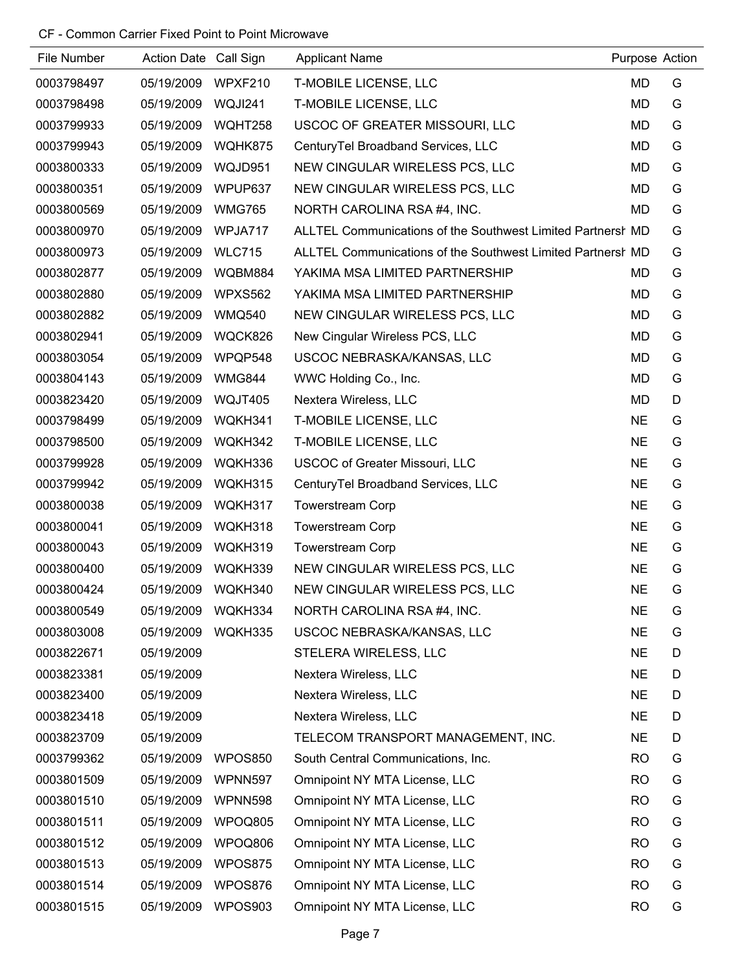### CF - Common Carrier Fixed Point to Point Microwave

| File Number | Action Date Call Sign |               | <b>Applicant Name</b>                                       |           | Purpose Action |
|-------------|-----------------------|---------------|-------------------------------------------------------------|-----------|----------------|
| 0003798497  | 05/19/2009            | WPXF210       | T-MOBILE LICENSE, LLC                                       | <b>MD</b> | G              |
| 0003798498  | 05/19/2009            | WQJI241       | T-MOBILE LICENSE, LLC                                       | <b>MD</b> | G              |
| 0003799933  | 05/19/2009            | WQHT258       | USCOC OF GREATER MISSOURI, LLC                              | MD        | G              |
| 0003799943  | 05/19/2009            | WQHK875       | CenturyTel Broadband Services, LLC                          | MD        | G              |
| 0003800333  | 05/19/2009            | WQJD951       | NEW CINGULAR WIRELESS PCS, LLC                              | MD        | G              |
| 0003800351  | 05/19/2009            | WPUP637       | NEW CINGULAR WIRELESS PCS, LLC                              | MD        | G              |
| 0003800569  | 05/19/2009            | <b>WMG765</b> | NORTH CAROLINA RSA #4, INC.                                 | MD        | G              |
| 0003800970  | 05/19/2009            | WPJA717       | ALLTEL Communications of the Southwest Limited Partnersh MD |           | G              |
| 0003800973  | 05/19/2009            | <b>WLC715</b> | ALLTEL Communications of the Southwest Limited Partnersh MD |           | G              |
| 0003802877  | 05/19/2009            | WQBM884       | YAKIMA MSA LIMITED PARTNERSHIP                              | MD        | G              |
| 0003802880  | 05/19/2009            | WPXS562       | YAKIMA MSA LIMITED PARTNERSHIP                              | MD        | G              |
| 0003802882  | 05/19/2009            | <b>WMQ540</b> | NEW CINGULAR WIRELESS PCS, LLC                              | <b>MD</b> | G              |
| 0003802941  | 05/19/2009            | WQCK826       | New Cingular Wireless PCS, LLC                              | <b>MD</b> | G              |
| 0003803054  | 05/19/2009            | WPQP548       | USCOC NEBRASKA/KANSAS, LLC                                  | MD        | G              |
| 0003804143  | 05/19/2009            | <b>WMG844</b> | WWC Holding Co., Inc.                                       | MD        | G              |
| 0003823420  | 05/19/2009            | WQJT405       | Nextera Wireless, LLC                                       | <b>MD</b> | D              |
| 0003798499  | 05/19/2009            | WQKH341       | T-MOBILE LICENSE, LLC                                       | <b>NE</b> | G              |
| 0003798500  | 05/19/2009            | WQKH342       | T-MOBILE LICENSE, LLC                                       | <b>NE</b> | G              |
| 0003799928  | 05/19/2009            | WQKH336       | <b>USCOC of Greater Missouri, LLC</b>                       | <b>NE</b> | G              |
| 0003799942  | 05/19/2009            | WQKH315       | CenturyTel Broadband Services, LLC                          | <b>NE</b> | G              |
| 0003800038  | 05/19/2009            | WQKH317       | <b>Towerstream Corp</b>                                     | <b>NE</b> | G              |
| 0003800041  | 05/19/2009            | WQKH318       | <b>Towerstream Corp</b>                                     | <b>NE</b> | G              |
| 0003800043  | 05/19/2009            | WQKH319       | <b>Towerstream Corp</b>                                     | <b>NE</b> | G              |
| 0003800400  | 05/19/2009            | WQKH339       | NEW CINGULAR WIRELESS PCS, LLC                              | <b>NE</b> | G              |
| 0003800424  | 05/19/2009            | WQKH340       | NEW CINGULAR WIRELESS PCS, LLC                              | <b>NE</b> | G              |
| 0003800549  | 05/19/2009            | WQKH334       | NORTH CAROLINA RSA #4, INC.                                 | <b>NE</b> | G              |
| 0003803008  | 05/19/2009            | WQKH335       | USCOC NEBRASKA/KANSAS, LLC                                  | <b>NE</b> | G              |
| 0003822671  | 05/19/2009            |               | STELERA WIRELESS, LLC                                       | <b>NE</b> | D              |
| 0003823381  | 05/19/2009            |               | Nextera Wireless, LLC                                       | <b>NE</b> | D              |
| 0003823400  | 05/19/2009            |               | Nextera Wireless, LLC                                       | <b>NE</b> | D              |
| 0003823418  | 05/19/2009            |               | Nextera Wireless, LLC                                       | <b>NE</b> | D              |
| 0003823709  | 05/19/2009            |               | TELECOM TRANSPORT MANAGEMENT, INC.                          | <b>NE</b> | D              |
| 0003799362  | 05/19/2009            | WPOS850       | South Central Communications, Inc.                          | <b>RO</b> | G              |
| 0003801509  | 05/19/2009            | WPNN597       | Omnipoint NY MTA License, LLC                               | <b>RO</b> | G              |
| 0003801510  | 05/19/2009            | WPNN598       | Omnipoint NY MTA License, LLC                               | <b>RO</b> | G              |
| 0003801511  | 05/19/2009            | WPOQ805       | Omnipoint NY MTA License, LLC                               | <b>RO</b> | G              |
| 0003801512  | 05/19/2009            | WPOQ806       | Omnipoint NY MTA License, LLC                               | <b>RO</b> | G              |
| 0003801513  | 05/19/2009            | WPOS875       | Omnipoint NY MTA License, LLC                               | <b>RO</b> | G              |
| 0003801514  | 05/19/2009            | WPOS876       | Omnipoint NY MTA License, LLC                               | <b>RO</b> | G              |
| 0003801515  | 05/19/2009            | WPOS903       | Omnipoint NY MTA License, LLC                               | <b>RO</b> | G              |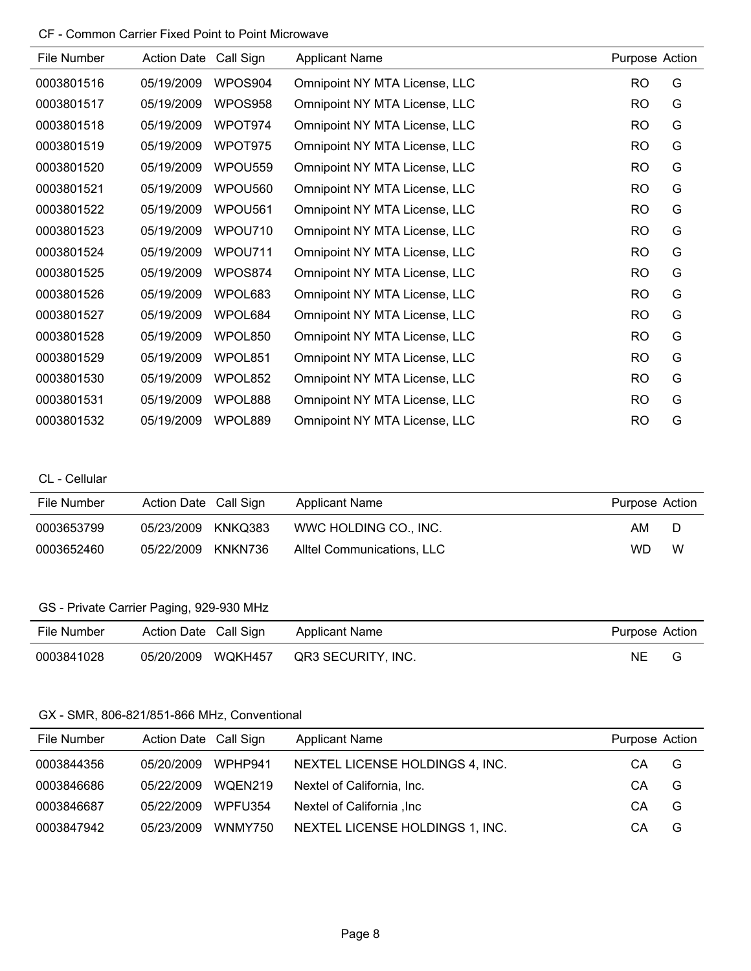### CF - Common Carrier Fixed Point to Point Microwave

| File Number | <b>Action Date</b> | Call Sign           | <b>Applicant Name</b>         | Purpose Action |   |
|-------------|--------------------|---------------------|-------------------------------|----------------|---|
| 0003801516  | 05/19/2009         | WPOS904             | Omnipoint NY MTA License, LLC | <b>RO</b>      | G |
| 0003801517  | 05/19/2009         | WPOS958             | Omnipoint NY MTA License, LLC | <b>RO</b>      | G |
| 0003801518  | 05/19/2009         | WPOT974             | Omnipoint NY MTA License, LLC | <b>RO</b>      | G |
| 0003801519  | 05/19/2009         | WPOT975             | Omnipoint NY MTA License, LLC | <b>RO</b>      | G |
| 0003801520  | 05/19/2009         | WPOU <sub>559</sub> | Omnipoint NY MTA License, LLC | <b>RO</b>      | G |
| 0003801521  | 05/19/2009         | WPOU560             | Omnipoint NY MTA License, LLC | <b>RO</b>      | G |
| 0003801522  | 05/19/2009         | WPOU561             | Omnipoint NY MTA License, LLC | <b>RO</b>      | G |
| 0003801523  | 05/19/2009         | WPOU710             | Omnipoint NY MTA License, LLC | <b>RO</b>      | G |
| 0003801524  | 05/19/2009         | WPOU711             | Omnipoint NY MTA License, LLC | <b>RO</b>      | G |
| 0003801525  | 05/19/2009         | WPOS874             | Omnipoint NY MTA License, LLC | <b>RO</b>      | G |
| 0003801526  | 05/19/2009         | WPOL683             | Omnipoint NY MTA License, LLC | <b>RO</b>      | G |
| 0003801527  | 05/19/2009         | WPOL684             | Omnipoint NY MTA License, LLC | <b>RO</b>      | G |
| 0003801528  | 05/19/2009         | WPOL850             | Omnipoint NY MTA License, LLC | <b>RO</b>      | G |
| 0003801529  | 05/19/2009         | WPOL851             | Omnipoint NY MTA License, LLC | <b>RO</b>      | G |
| 0003801530  | 05/19/2009         | WPOL852             | Omnipoint NY MTA License, LLC | <b>RO</b>      | G |
| 0003801531  | 05/19/2009         | WPOL888             | Omnipoint NY MTA License, LLC | <b>RO</b>      | G |
| 0003801532  | 05/19/2009         | WPOL889             | Omnipoint NY MTA License, LLC | <b>RO</b>      | G |

## CL - Cellular

| File Number | Action Date Call Sign |         | <b>Applicant Name</b>      | Purpose Action |   |
|-------------|-----------------------|---------|----------------------------|----------------|---|
| 0003653799  | 05/23/2009            | KNKQ383 | WWC HOLDING CO., INC.      | AM.            | D |
| 0003652460  | 05/22/2009            | KNKN736 | Alltel Communications, LLC | WD             | W |

# GS - Private Carrier Paging, 929-930 MHz

| File Number | Action Date Call Sign | <b>Applicant Name</b> | Purpose Action |  |
|-------------|-----------------------|-----------------------|----------------|--|
| 0003841028  | 05/20/2009 WQKH457    | QR3 SECURITY, INC.    | NE.            |  |

### GX - SMR, 806-821/851-866 MHz, Conventional

| File Number | Action Date Call Sign |         | <b>Applicant Name</b>           | Purpose Action |   |
|-------------|-----------------------|---------|---------------------------------|----------------|---|
| 0003844356  | 05/20/2009            | WPHP941 | NEXTEL LICENSE HOLDINGS 4, INC. | CА             | G |
| 0003846686  | 05/22/2009            | WQEN219 | Nextel of California, Inc.      | СA             | G |
| 0003846687  | 05/22/2009            | WPFU354 | Nextel of California , Inc.     | CА             | G |
| 0003847942  | 05/23/2009            | WNMY750 | NEXTEL LICENSE HOLDINGS 1, INC. | CА             | G |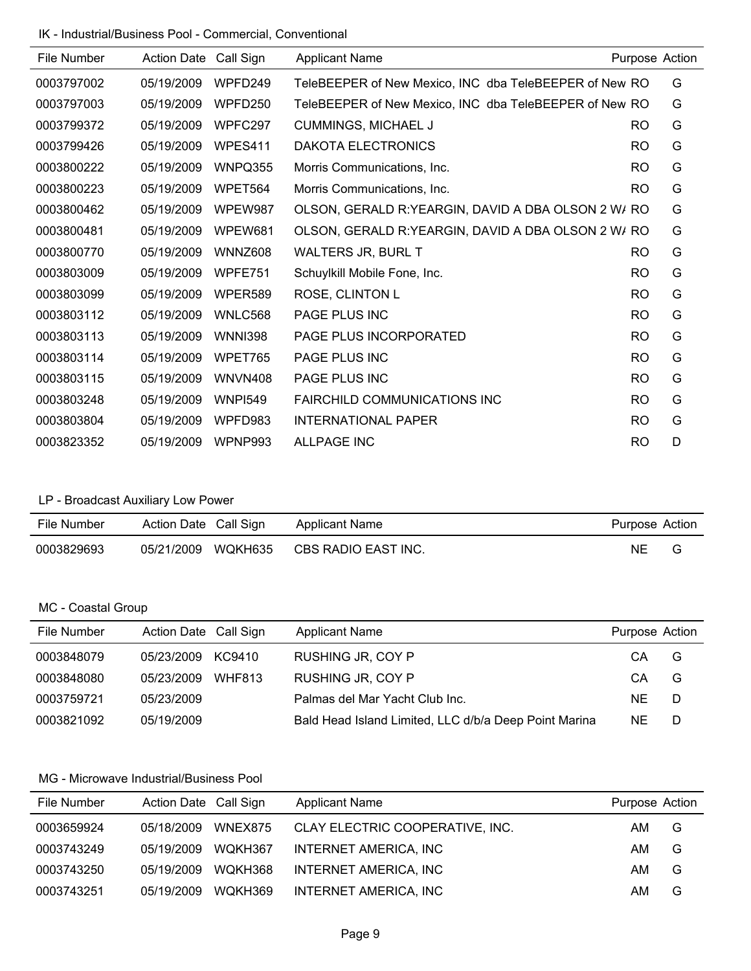IK - Industrial/Business Pool - Commercial, Conventional

| File Number | <b>Action Date</b> | Call Sign      | <b>Applicant Name</b>                                  |                | Purpose Action |
|-------------|--------------------|----------------|--------------------------------------------------------|----------------|----------------|
| 0003797002  | 05/19/2009         | WPFD249        | TeleBEEPER of New Mexico, INC dba TeleBEEPER of New RO |                | G              |
| 0003797003  | 05/19/2009         | WPFD250        | TeleBEEPER of New Mexico, INC dba TeleBEEPER of New RO |                | G              |
| 0003799372  | 05/19/2009         | WPFC297        | <b>CUMMINGS, MICHAEL J</b>                             | RO.            | G              |
| 0003799426  | 05/19/2009         | WPES411        | DAKOTA ELECTRONICS                                     | <b>RO</b>      | G              |
| 0003800222  | 05/19/2009         | WNPQ355        | Morris Communications, Inc.                            | <b>RO</b>      | G              |
| 0003800223  | 05/19/2009         | WPET564        | Morris Communications, Inc.                            | RO             | G              |
| 0003800462  | 05/19/2009         | WPEW987        | OLSON, GERALD R: YEARGIN, DAVID A DBA OLSON 2 W/ RO    |                | G              |
| 0003800481  | 05/19/2009         | WPEW681        | OLSON, GERALD R: YEARGIN, DAVID A DBA OLSON 2 W/ RO    |                | G              |
| 0003800770  | 05/19/2009         | WNNZ608        | <b>WALTERS JR, BURL T</b>                              | RO.            | G              |
| 0003803009  | 05/19/2009         | WPFE751        | Schuylkill Mobile Fone, Inc.                           | R <sub>O</sub> | G              |
| 0003803099  | 05/19/2009         | WPER589        | ROSE, CLINTON L                                        | <b>RO</b>      | G              |
| 0003803112  | 05/19/2009         | WNLC568        | <b>PAGE PLUS INC</b>                                   | <b>RO</b>      | G              |
| 0003803113  | 05/19/2009         | <b>WNNI398</b> | PAGE PLUS INCORPORATED                                 | <b>RO</b>      | G              |
| 0003803114  | 05/19/2009         | WPET765        | PAGE PLUS INC                                          | <b>RO</b>      | G              |
| 0003803115  | 05/19/2009         | WNVN408        | PAGE PLUS INC                                          | <b>RO</b>      | G              |
| 0003803248  | 05/19/2009         | <b>WNPI549</b> | <b>FAIRCHILD COMMUNICATIONS INC</b>                    | RO.            | G              |
| 0003803804  | 05/19/2009         | WPFD983        | <b>INTERNATIONAL PAPER</b>                             | <b>RO</b>      | G              |
| 0003823352  | 05/19/2009         | WPNP993        | <b>ALLPAGE INC</b>                                     | <b>RO</b>      | D              |

# LP - Broadcast Auxiliary Low Power

| File Number | Action Date Call Sign |         | Applicant Name      | Purpose Action |  |
|-------------|-----------------------|---------|---------------------|----------------|--|
| 0003829693  | 05/21/2009            | WQKH635 | CBS RADIO EAST INC. | ΝE             |  |

# MC - Coastal Group

| File Number | Action Date Call Sign | <b>Applicant Name</b>                                 | Purpose Action |   |
|-------------|-----------------------|-------------------------------------------------------|----------------|---|
| 0003848079  | 05/23/2009 KC9410     | RUSHING JR, COY P                                     | CA             | G |
| 0003848080  | 05/23/2009 WHF813     | RUSHING JR, COY P                                     | CА             | G |
| 0003759721  | 05/23/2009            | Palmas del Mar Yacht Club Inc.                        | NF.            | D |
| 0003821092  | 05/19/2009            | Bald Head Island Limited, LLC d/b/a Deep Point Marina | NE.            | D |

| File Number | Action Date Call Sign |         | <b>Applicant Name</b>           | Purpose Action |   |
|-------------|-----------------------|---------|---------------------------------|----------------|---|
| 0003659924  | 05/18/2009            | WNEX875 | CLAY ELECTRIC COOPERATIVE, INC. | AM.            | G |
| 0003743249  | 05/19/2009            | WQKH367 | <b>INTERNET AMERICA, INC</b>    | AM             | G |
| 0003743250  | 05/19/2009            | WOKH368 | INTERNET AMERICA, INC           | AM             | G |
| 0003743251  | 05/19/2009            | WQKH369 | INTERNET AMERICA, INC           | AM             | G |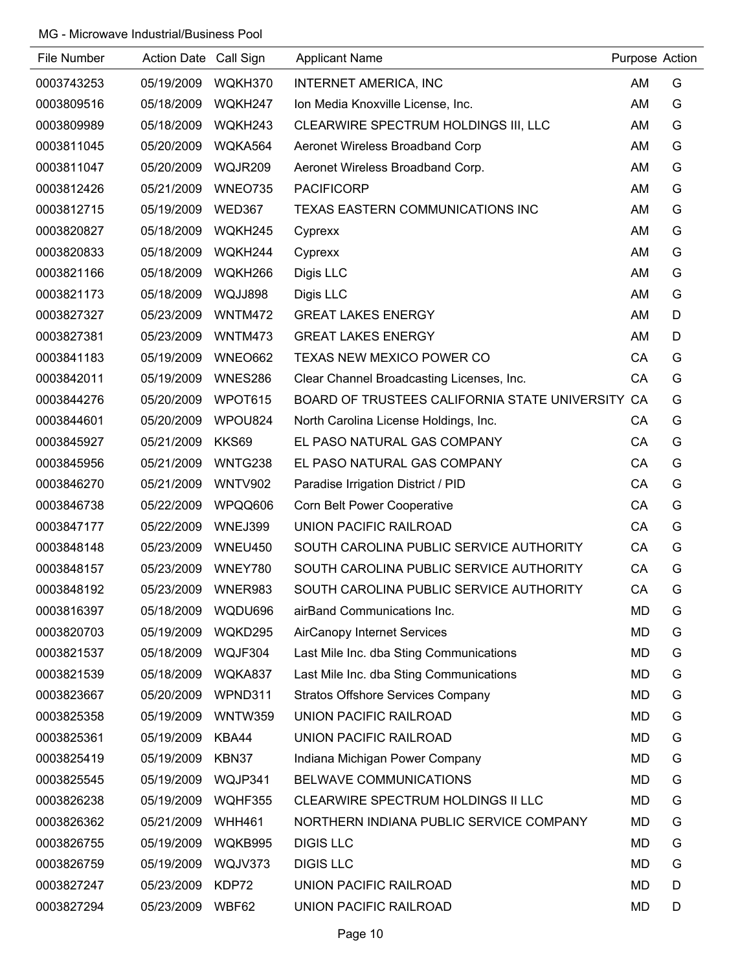| File Number | Action Date Call Sign |                | <b>Applicant Name</b>                            | Purpose Action |   |
|-------------|-----------------------|----------------|--------------------------------------------------|----------------|---|
| 0003743253  | 05/19/2009            | WQKH370        | <b>INTERNET AMERICA, INC</b>                     | AM             | G |
| 0003809516  | 05/18/2009            | WQKH247        | Ion Media Knoxville License, Inc.                | AM             | G |
| 0003809989  | 05/18/2009            | WQKH243        | CLEARWIRE SPECTRUM HOLDINGS III, LLC             | AM             | G |
| 0003811045  | 05/20/2009            | WQKA564        | Aeronet Wireless Broadband Corp                  | AM             | G |
| 0003811047  | 05/20/2009            | WQJR209        | Aeronet Wireless Broadband Corp.                 | AM             | G |
| 0003812426  | 05/21/2009            | WNEO735        | <b>PACIFICORP</b>                                | AM             | G |
| 0003812715  | 05/19/2009            | <b>WED367</b>  | TEXAS EASTERN COMMUNICATIONS INC                 | AM             | G |
| 0003820827  | 05/18/2009            | WQKH245        | Cyprexx                                          | AM             | G |
| 0003820833  | 05/18/2009            | WQKH244        | Cyprexx                                          | AM             | G |
| 0003821166  | 05/18/2009            | WQKH266        | Digis LLC                                        | AM             | G |
| 0003821173  | 05/18/2009            | WQJJ898        | Digis LLC                                        | AM             | G |
| 0003827327  | 05/23/2009            | WNTM472        | <b>GREAT LAKES ENERGY</b>                        | AM             | D |
| 0003827381  | 05/23/2009            | WNTM473        | <b>GREAT LAKES ENERGY</b>                        | AM             | D |
| 0003841183  | 05/19/2009            | WNEO662        | TEXAS NEW MEXICO POWER CO                        | CA             | G |
| 0003842011  | 05/19/2009            | <b>WNES286</b> | Clear Channel Broadcasting Licenses, Inc.        | CA             | G |
| 0003844276  | 05/20/2009            | WPOT615        | BOARD OF TRUSTEES CALIFORNIA STATE UNIVERSITY CA |                | G |
| 0003844601  | 05/20/2009            | WPOU824        | North Carolina License Holdings, Inc.            | СA             | G |
| 0003845927  | 05/21/2009            | KKS69          | EL PASO NATURAL GAS COMPANY                      | CA             | G |
| 0003845956  | 05/21/2009            | WNTG238        | EL PASO NATURAL GAS COMPANY                      | CA             | G |
| 0003846270  | 05/21/2009            | <b>WNTV902</b> | Paradise Irrigation District / PID               | CA             | G |
| 0003846738  | 05/22/2009            | WPQQ606        | <b>Corn Belt Power Cooperative</b>               | CA             | G |
| 0003847177  | 05/22/2009            | WNEJ399        | <b>UNION PACIFIC RAILROAD</b>                    | CA             | G |
| 0003848148  | 05/23/2009            | WNEU450        | SOUTH CAROLINA PUBLIC SERVICE AUTHORITY          | CA             | G |
| 0003848157  | 05/23/2009            | WNEY780        | SOUTH CAROLINA PUBLIC SERVICE AUTHORITY          | СA             | G |
| 0003848192  | 05/23/2009            | WNER983        | SOUTH CAROLINA PUBLIC SERVICE AUTHORITY          | CA             | G |
| 0003816397  | 05/18/2009            | WQDU696        | airBand Communications Inc.                      | MD             | G |
| 0003820703  | 05/19/2009            | WQKD295        | <b>AirCanopy Internet Services</b>               | <b>MD</b>      | G |
| 0003821537  | 05/18/2009            | WQJF304        | Last Mile Inc. dba Sting Communications          | MD             | G |
| 0003821539  | 05/18/2009            | WQKA837        | Last Mile Inc. dba Sting Communications          | MD             | G |
| 0003823667  | 05/20/2009            | WPND311        | <b>Stratos Offshore Services Company</b>         | MD             | G |
| 0003825358  | 05/19/2009            | <b>WNTW359</b> | UNION PACIFIC RAILROAD                           | <b>MD</b>      | G |
| 0003825361  | 05/19/2009            | KBA44          | UNION PACIFIC RAILROAD                           | MD             | G |
| 0003825419  | 05/19/2009            | KBN37          | Indiana Michigan Power Company                   | MD             | G |
| 0003825545  | 05/19/2009            | WQJP341        | BELWAVE COMMUNICATIONS                           | MD             | G |
| 0003826238  | 05/19/2009            | WQHF355        | CLEARWIRE SPECTRUM HOLDINGS II LLC               | <b>MD</b>      | G |
| 0003826362  | 05/21/2009            | <b>WHH461</b>  | NORTHERN INDIANA PUBLIC SERVICE COMPANY          | MD             | G |
| 0003826755  | 05/19/2009            | WQKB995        | <b>DIGIS LLC</b>                                 | MD             | G |
| 0003826759  | 05/19/2009            | WQJV373        | <b>DIGIS LLC</b>                                 | MD             | G |
| 0003827247  | 05/23/2009            | KDP72          | UNION PACIFIC RAILROAD                           | MD             | D |
| 0003827294  | 05/23/2009            | WBF62          | UNION PACIFIC RAILROAD                           | <b>MD</b>      | D |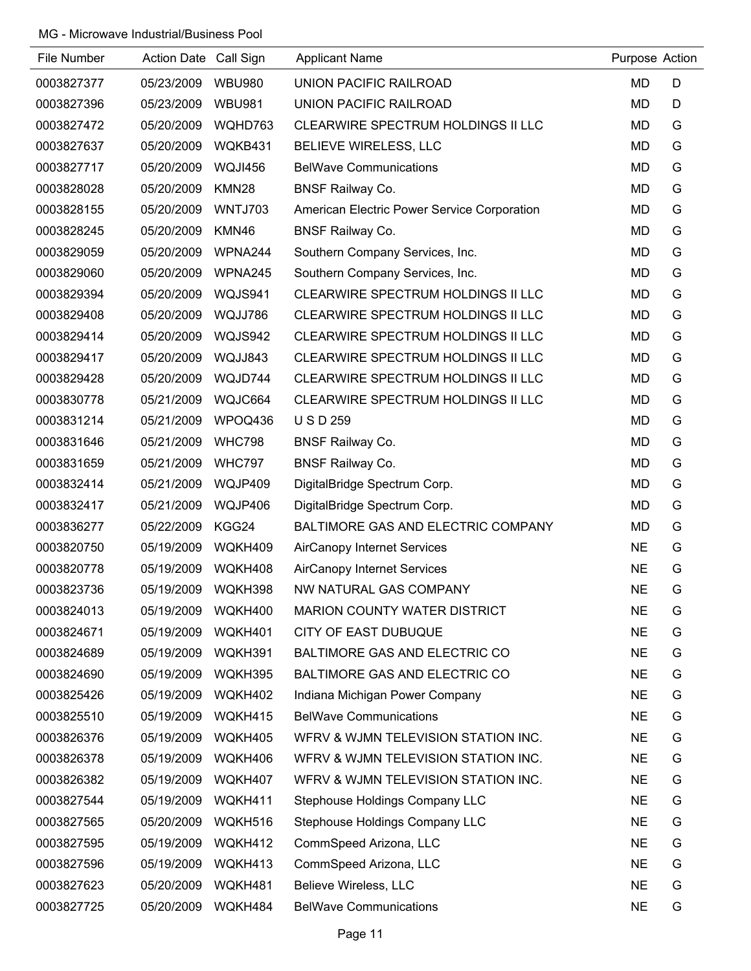| File Number | Action Date Call Sign |               | <b>Applicant Name</b>                       | Purpose Action |   |
|-------------|-----------------------|---------------|---------------------------------------------|----------------|---|
| 0003827377  | 05/23/2009            | <b>WBU980</b> | <b>UNION PACIFIC RAILROAD</b>               | <b>MD</b>      | D |
| 0003827396  | 05/23/2009            | <b>WBU981</b> | <b>UNION PACIFIC RAILROAD</b>               | <b>MD</b>      | D |
| 0003827472  | 05/20/2009            | WQHD763       | CLEARWIRE SPECTRUM HOLDINGS II LLC          | MD             | G |
| 0003827637  | 05/20/2009            | WQKB431       | BELIEVE WIRELESS, LLC                       | <b>MD</b>      | G |
| 0003827717  | 05/20/2009            | WQJI456       | <b>BelWave Communications</b>               | <b>MD</b>      | G |
| 0003828028  | 05/20/2009            | KMN28         | <b>BNSF Railway Co.</b>                     | <b>MD</b>      | G |
| 0003828155  | 05/20/2009            | WNTJ703       | American Electric Power Service Corporation | <b>MD</b>      | G |
| 0003828245  | 05/20/2009            | KMN46         | <b>BNSF Railway Co.</b>                     | <b>MD</b>      | G |
| 0003829059  | 05/20/2009            | WPNA244       | Southern Company Services, Inc.             | <b>MD</b>      | G |
| 0003829060  | 05/20/2009            | WPNA245       | Southern Company Services, Inc.             | MD             | G |
| 0003829394  | 05/20/2009            | WQJS941       | CLEARWIRE SPECTRUM HOLDINGS II LLC          | MD             | G |
| 0003829408  | 05/20/2009            | WQJJ786       | CLEARWIRE SPECTRUM HOLDINGS II LLC          | <b>MD</b>      | G |
| 0003829414  | 05/20/2009            | WQJS942       | CLEARWIRE SPECTRUM HOLDINGS II LLC          | <b>MD</b>      | G |
| 0003829417  | 05/20/2009            | WQJJ843       | CLEARWIRE SPECTRUM HOLDINGS II LLC          | <b>MD</b>      | G |
| 0003829428  | 05/20/2009            | WQJD744       | CLEARWIRE SPECTRUM HOLDINGS II LLC          | MD             | G |
| 0003830778  | 05/21/2009            | WQJC664       | CLEARWIRE SPECTRUM HOLDINGS II LLC          | <b>MD</b>      | G |
| 0003831214  | 05/21/2009            | WPOQ436       | <b>USD259</b>                               | MD             | G |
| 0003831646  | 05/21/2009            | <b>WHC798</b> | <b>BNSF Railway Co.</b>                     | <b>MD</b>      | G |
| 0003831659  | 05/21/2009            | <b>WHC797</b> | <b>BNSF Railway Co.</b>                     | <b>MD</b>      | G |
| 0003832414  | 05/21/2009            | WQJP409       | DigitalBridge Spectrum Corp.                | <b>MD</b>      | G |
| 0003832417  | 05/21/2009            | WQJP406       | DigitalBridge Spectrum Corp.                | MD             | G |
| 0003836277  | 05/22/2009            | KGG24         | BALTIMORE GAS AND ELECTRIC COMPANY          | <b>MD</b>      | G |
| 0003820750  | 05/19/2009            | WQKH409       | <b>AirCanopy Internet Services</b>          | <b>NE</b>      | G |
| 0003820778  | 05/19/2009            | WQKH408       | <b>AirCanopy Internet Services</b>          | <b>NE</b>      | G |
| 0003823736  | 05/19/2009            | WQKH398       | NW NATURAL GAS COMPANY                      | <b>NE</b>      | G |
| 0003824013  | 05/19/2009            | WQKH400       | <b>MARION COUNTY WATER DISTRICT</b>         | <b>NE</b>      | G |
| 0003824671  | 05/19/2009            | WQKH401       | CITY OF EAST DUBUQUE                        | <b>NE</b>      | G |
| 0003824689  | 05/19/2009            | WQKH391       | BALTIMORE GAS AND ELECTRIC CO               | <b>NE</b>      | G |
| 0003824690  | 05/19/2009            | WQKH395       | BALTIMORE GAS AND ELECTRIC CO               | <b>NE</b>      | G |
| 0003825426  | 05/19/2009            | WQKH402       | Indiana Michigan Power Company              | <b>NE</b>      | G |
| 0003825510  | 05/19/2009            | WQKH415       | <b>BelWave Communications</b>               | <b>NE</b>      | G |
| 0003826376  | 05/19/2009            | WQKH405       | WERV & WJMN TELEVISION STATION INC.         | <b>NE</b>      | G |
| 0003826378  | 05/19/2009            | WQKH406       | WERV & WJMN TELEVISION STATION INC.         | <b>NE</b>      | G |
| 0003826382  | 05/19/2009            | WQKH407       | WERV & WJMN TELEVISION STATION INC.         | <b>NE</b>      | G |
| 0003827544  | 05/19/2009            | WQKH411       | Stephouse Holdings Company LLC              | <b>NE</b>      | G |
| 0003827565  | 05/20/2009            | WQKH516       | Stephouse Holdings Company LLC              | <b>NE</b>      | G |
| 0003827595  | 05/19/2009            | WQKH412       | CommSpeed Arizona, LLC                      | <b>NE</b>      | G |
| 0003827596  | 05/19/2009            | WQKH413       | CommSpeed Arizona, LLC                      | <b>NE</b>      | G |
| 0003827623  | 05/20/2009            | WQKH481       | Believe Wireless, LLC                       | <b>NE</b>      | G |
| 0003827725  | 05/20/2009            | WQKH484       | <b>BelWave Communications</b>               | <b>NE</b>      | G |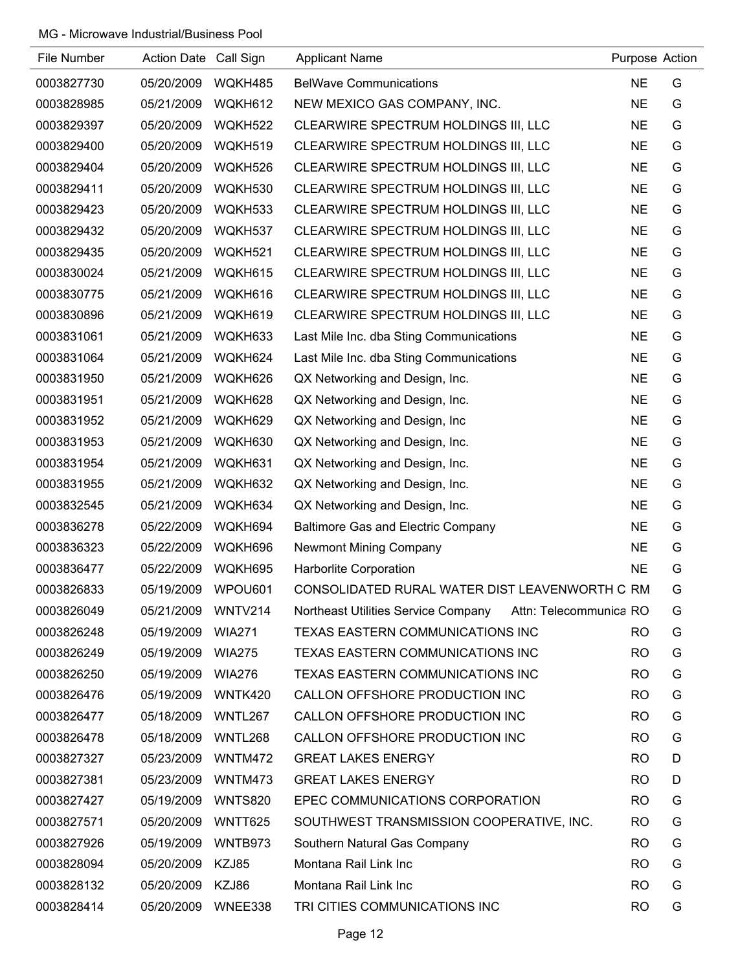| File Number | Action Date Call Sign |                | <b>Applicant Name</b>                                         | Purpose Action |   |
|-------------|-----------------------|----------------|---------------------------------------------------------------|----------------|---|
| 0003827730  | 05/20/2009            | WQKH485        | <b>BelWave Communications</b>                                 | <b>NE</b>      | G |
| 0003828985  | 05/21/2009            | WQKH612        | NEW MEXICO GAS COMPANY, INC.                                  | <b>NE</b>      | G |
| 0003829397  | 05/20/2009            | WQKH522        | CLEARWIRE SPECTRUM HOLDINGS III, LLC                          | <b>NE</b>      | G |
| 0003829400  | 05/20/2009            | WQKH519        | CLEARWIRE SPECTRUM HOLDINGS III, LLC                          | <b>NE</b>      | G |
| 0003829404  | 05/20/2009            | WQKH526        | CLEARWIRE SPECTRUM HOLDINGS III, LLC                          | <b>NE</b>      | G |
| 0003829411  | 05/20/2009            | WQKH530        | CLEARWIRE SPECTRUM HOLDINGS III, LLC                          | <b>NE</b>      | G |
| 0003829423  | 05/20/2009            | WQKH533        | CLEARWIRE SPECTRUM HOLDINGS III, LLC                          | <b>NE</b>      | G |
| 0003829432  | 05/20/2009            | WQKH537        | CLEARWIRE SPECTRUM HOLDINGS III, LLC                          | <b>NE</b>      | G |
| 0003829435  | 05/20/2009            | WQKH521        | CLEARWIRE SPECTRUM HOLDINGS III, LLC                          | <b>NE</b>      | G |
| 0003830024  | 05/21/2009            | WQKH615        | CLEARWIRE SPECTRUM HOLDINGS III, LLC                          | <b>NE</b>      | G |
| 0003830775  | 05/21/2009            | WQKH616        | CLEARWIRE SPECTRUM HOLDINGS III, LLC                          | <b>NE</b>      | G |
| 0003830896  | 05/21/2009            | WQKH619        | CLEARWIRE SPECTRUM HOLDINGS III, LLC                          | <b>NE</b>      | G |
| 0003831061  | 05/21/2009            | WQKH633        | Last Mile Inc. dba Sting Communications                       | <b>NE</b>      | G |
| 0003831064  | 05/21/2009            | WQKH624        | Last Mile Inc. dba Sting Communications                       | <b>NE</b>      | G |
| 0003831950  | 05/21/2009            | WQKH626        | QX Networking and Design, Inc.                                | <b>NE</b>      | G |
| 0003831951  | 05/21/2009            | WQKH628        | QX Networking and Design, Inc.                                | <b>NE</b>      | G |
| 0003831952  | 05/21/2009            | WQKH629        | QX Networking and Design, Inc.                                | <b>NE</b>      | G |
| 0003831953  | 05/21/2009            | WQKH630        | QX Networking and Design, Inc.                                | <b>NE</b>      | G |
| 0003831954  | 05/21/2009            | WQKH631        | QX Networking and Design, Inc.                                | <b>NE</b>      | G |
| 0003831955  | 05/21/2009            | WQKH632        | QX Networking and Design, Inc.                                | <b>NE</b>      | G |
| 0003832545  | 05/21/2009            | WQKH634        | QX Networking and Design, Inc.                                | <b>NE</b>      | G |
| 0003836278  | 05/22/2009            | WQKH694        | <b>Baltimore Gas and Electric Company</b>                     | <b>NE</b>      | G |
| 0003836323  | 05/22/2009            | WQKH696        | <b>Newmont Mining Company</b>                                 | <b>NE</b>      | G |
| 0003836477  | 05/22/2009            | WQKH695        | Harborlite Corporation                                        | <b>NE</b>      | G |
| 0003826833  | 05/19/2009            | WPOU601        | CONSOLIDATED RURAL WATER DIST LEAVENWORTH C RM                |                | G |
| 0003826049  | 05/21/2009            | WNTV214        | Northeast Utilities Service Company<br>Attn: Telecommunica RO |                | G |
| 0003826248  | 05/19/2009            | <b>WIA271</b>  | TEXAS EASTERN COMMUNICATIONS INC                              | RO             | G |
| 0003826249  | 05/19/2009            | <b>WIA275</b>  | <b>TEXAS EASTERN COMMUNICATIONS INC</b>                       | RO             | G |
| 0003826250  | 05/19/2009            | <b>WIA276</b>  | TEXAS EASTERN COMMUNICATIONS INC                              | RO             | G |
| 0003826476  | 05/19/2009            | WNTK420        | CALLON OFFSHORE PRODUCTION INC                                | RO             | G |
| 0003826477  | 05/18/2009            | WNTL267        | CALLON OFFSHORE PRODUCTION INC                                | <b>RO</b>      | G |
| 0003826478  | 05/18/2009            | WNTL268        | CALLON OFFSHORE PRODUCTION INC                                | RO             | G |
| 0003827327  | 05/23/2009            | <b>WNTM472</b> | <b>GREAT LAKES ENERGY</b>                                     | RO             | D |
| 0003827381  | 05/23/2009            | WNTM473        | <b>GREAT LAKES ENERGY</b>                                     | <b>RO</b>      | D |
| 0003827427  | 05/19/2009            | <b>WNTS820</b> | EPEC COMMUNICATIONS CORPORATION                               | <b>RO</b>      | G |
| 0003827571  | 05/20/2009            | WNTT625        | SOUTHWEST TRANSMISSION COOPERATIVE, INC.                      | <b>RO</b>      | G |
| 0003827926  | 05/19/2009            | WNTB973        | Southern Natural Gas Company                                  | RO             | G |
| 0003828094  | 05/20/2009            | KZJ85          | Montana Rail Link Inc                                         | <b>RO</b>      | G |
| 0003828132  | 05/20/2009            | KZJ86          | Montana Rail Link Inc                                         | <b>RO</b>      | G |
| 0003828414  | 05/20/2009            | WNEE338        | TRI CITIES COMMUNICATIONS INC                                 | <b>RO</b>      | G |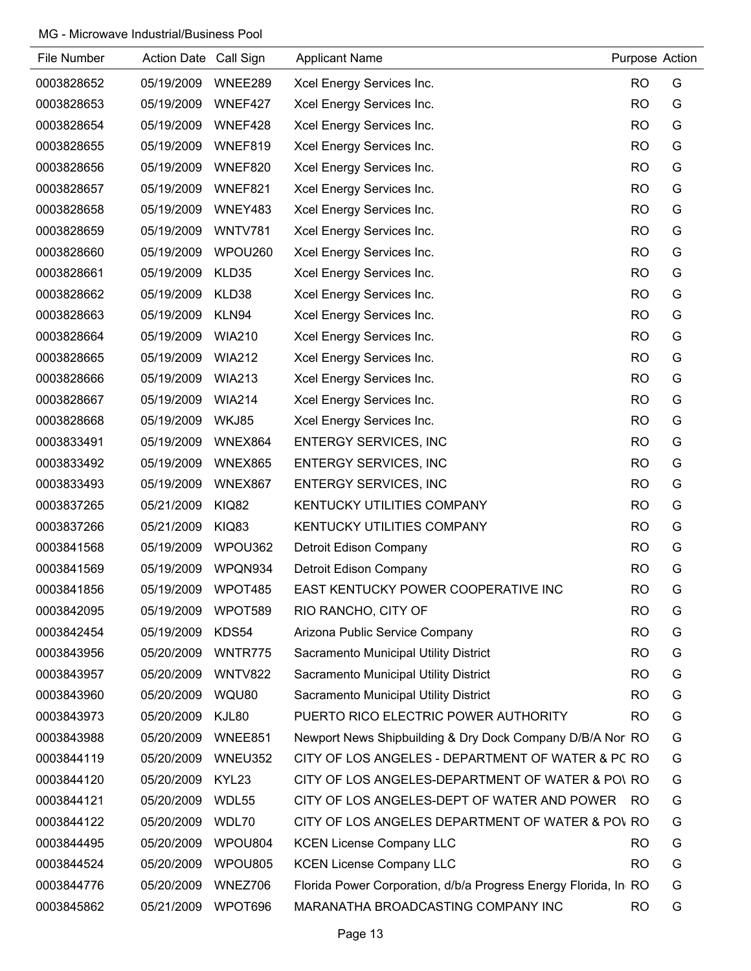| File Number | Action Date Call Sign |                | <b>Applicant Name</b>                                           | Purpose Action |   |
|-------------|-----------------------|----------------|-----------------------------------------------------------------|----------------|---|
| 0003828652  | 05/19/2009            | WNEE289        | Xcel Energy Services Inc.                                       | <b>RO</b>      | G |
| 0003828653  | 05/19/2009            | WNEF427        | Xcel Energy Services Inc.                                       | <b>RO</b>      | G |
| 0003828654  | 05/19/2009            | WNEF428        | Xcel Energy Services Inc.                                       | <b>RO</b>      | G |
| 0003828655  | 05/19/2009            | WNEF819        | Xcel Energy Services Inc.                                       | <b>RO</b>      | G |
| 0003828656  | 05/19/2009            | WNEF820        | Xcel Energy Services Inc.                                       | <b>RO</b>      | G |
| 0003828657  | 05/19/2009            | WNEF821        | Xcel Energy Services Inc.                                       | <b>RO</b>      | G |
| 0003828658  | 05/19/2009            | WNEY483        | Xcel Energy Services Inc.                                       | <b>RO</b>      | G |
| 0003828659  | 05/19/2009            | <b>WNTV781</b> | Xcel Energy Services Inc.                                       | <b>RO</b>      | G |
| 0003828660  | 05/19/2009            | WPOU260        | Xcel Energy Services Inc.                                       | <b>RO</b>      | G |
| 0003828661  | 05/19/2009            | KLD35          | Xcel Energy Services Inc.                                       | <b>RO</b>      | G |
| 0003828662  | 05/19/2009            | KLD38          | Xcel Energy Services Inc.                                       | <b>RO</b>      | G |
| 0003828663  | 05/19/2009            | KLN94          | Xcel Energy Services Inc.                                       | <b>RO</b>      | G |
| 0003828664  | 05/19/2009            | <b>WIA210</b>  | Xcel Energy Services Inc.                                       | <b>RO</b>      | G |
| 0003828665  | 05/19/2009            | <b>WIA212</b>  | Xcel Energy Services Inc.                                       | <b>RO</b>      | G |
| 0003828666  | 05/19/2009            | <b>WIA213</b>  | Xcel Energy Services Inc.                                       | <b>RO</b>      | G |
| 0003828667  | 05/19/2009            | <b>WIA214</b>  | Xcel Energy Services Inc.                                       | <b>RO</b>      | G |
| 0003828668  | 05/19/2009            | WKJ85          | Xcel Energy Services Inc.                                       | <b>RO</b>      | G |
| 0003833491  | 05/19/2009            | WNEX864        | <b>ENTERGY SERVICES, INC</b>                                    | <b>RO</b>      | G |
| 0003833492  | 05/19/2009            | WNEX865        | <b>ENTERGY SERVICES, INC</b>                                    | <b>RO</b>      | G |
| 0003833493  | 05/19/2009            | WNEX867        | <b>ENTERGY SERVICES, INC</b>                                    | <b>RO</b>      | G |
| 0003837265  | 05/21/2009            | <b>KIQ82</b>   | KENTUCKY UTILITIES COMPANY                                      | <b>RO</b>      | G |
| 0003837266  | 05/21/2009            | KIQ83          | KENTUCKY UTILITIES COMPANY                                      | <b>RO</b>      | G |
| 0003841568  | 05/19/2009            | WPOU362        | Detroit Edison Company                                          | <b>RO</b>      | G |
| 0003841569  | 05/19/2009            | WPQN934        | Detroit Edison Company                                          | <b>RO</b>      | G |
| 0003841856  | 05/19/2009            | WPOT485        | EAST KENTUCKY POWER COOPERATIVE INC                             | <b>RO</b>      | G |
| 0003842095  | 05/19/2009            | WPOT589        | RIO RANCHO, CITY OF                                             | <b>RO</b>      | G |
| 0003842454  | 05/19/2009            | KDS54          | Arizona Public Service Company                                  | <b>RO</b>      | G |
| 0003843956  | 05/20/2009            | WNTR775        | Sacramento Municipal Utility District                           | <b>RO</b>      | G |
| 0003843957  | 05/20/2009            | WNTV822        | Sacramento Municipal Utility District                           | <b>RO</b>      | G |
| 0003843960  | 05/20/2009            | WQU80          | Sacramento Municipal Utility District                           | <b>RO</b>      | G |
| 0003843973  | 05/20/2009            | KJL80          | PUERTO RICO ELECTRIC POWER AUTHORITY                            | <b>RO</b>      | G |
| 0003843988  | 05/20/2009            | WNEE851        | Newport News Shipbuilding & Dry Dock Company D/B/A Nor RO       |                | G |
| 0003844119  | 05/20/2009            | WNEU352        | CITY OF LOS ANGELES - DEPARTMENT OF WATER & PC RO               |                | G |
| 0003844120  | 05/20/2009            | KYL23          | CITY OF LOS ANGELES-DEPARTMENT OF WATER & PO\ RO                |                | G |
| 0003844121  | 05/20/2009            | WDL55          | CITY OF LOS ANGELES-DEPT OF WATER AND POWER                     | RO.            | G |
| 0003844122  | 05/20/2009            | WDL70          | CITY OF LOS ANGELES DEPARTMENT OF WATER & POV RO                |                | G |
| 0003844495  | 05/20/2009            | WPOU804        | <b>KCEN License Company LLC</b>                                 | <b>RO</b>      | G |
| 0003844524  | 05/20/2009            | WPOU805        | <b>KCEN License Company LLC</b>                                 | <b>RO</b>      | G |
| 0003844776  | 05/20/2009            | WNEZ706        | Florida Power Corporation, d/b/a Progress Energy Florida, In RO |                | G |
| 0003845862  | 05/21/2009            | WPOT696        | MARANATHA BROADCASTING COMPANY INC                              | <b>RO</b>      | G |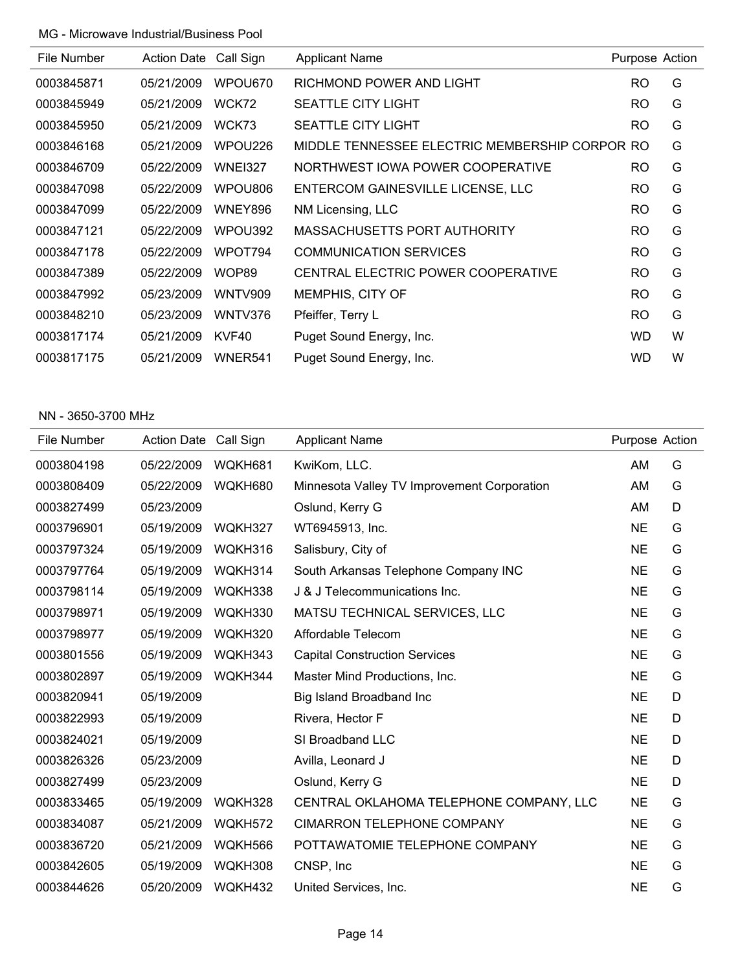| File Number | <b>Action Date</b> | Call Sign      | <b>Applicant Name</b>                          | Purpose Action |   |
|-------------|--------------------|----------------|------------------------------------------------|----------------|---|
| 0003845871  | 05/21/2009         | WPOU670        | RICHMOND POWER AND LIGHT                       | <b>RO</b>      | G |
| 0003845949  | 05/21/2009         | WCK72          | <b>SEATTLE CITY LIGHT</b>                      | <b>RO</b>      | G |
| 0003845950  | 05/21/2009         | WCK73          | <b>SEATTLE CITY LIGHT</b>                      | <b>RO</b>      | G |
| 0003846168  | 05/21/2009         | WPOU226        | MIDDLE TENNESSEE ELECTRIC MEMBERSHIP CORPOR RO |                | G |
| 0003846709  | 05/22/2009         | <b>WNEI327</b> | NORTHWEST IOWA POWER COOPERATIVE               | <b>RO</b>      | G |
| 0003847098  | 05/22/2009         | WPOU806        | ENTERCOM GAINESVILLE LICENSE, LLC              | <b>RO</b>      | G |
| 0003847099  | 05/22/2009         | WNEY896        | NM Licensing, LLC                              | <b>RO</b>      | G |
| 0003847121  | 05/22/2009         | WPOU392        | MASSACHUSETTS PORT AUTHORITY                   | <b>RO</b>      | G |
| 0003847178  | 05/22/2009         | WPOT794        | <b>COMMUNICATION SERVICES</b>                  | <b>RO</b>      | G |
| 0003847389  | 05/22/2009         | WOP89          | CENTRAL ELECTRIC POWER COOPERATIVE             | <b>RO</b>      | G |
| 0003847992  | 05/23/2009         | <b>WNTV909</b> | MEMPHIS, CITY OF                               | RO.            | G |
| 0003848210  | 05/23/2009         | WNTV376        | Pfeiffer, Terry L                              | <b>RO</b>      | G |
| 0003817174  | 05/21/2009         | KVF40          | Puget Sound Energy, Inc.                       | WD.            | W |
| 0003817175  | 05/21/2009         | WNER541        | Puget Sound Energy, Inc.                       | <b>WD</b>      | W |

#### NN - 3650-3700 MHz

| File Number | Action Date Call Sign |         | <b>Applicant Name</b>                       | Purpose Action |   |
|-------------|-----------------------|---------|---------------------------------------------|----------------|---|
| 0003804198  | 05/22/2009            | WQKH681 | KwiKom, LLC.                                | AM             | G |
| 0003808409  | 05/22/2009            | WQKH680 | Minnesota Valley TV Improvement Corporation | AM             | G |
| 0003827499  | 05/23/2009            |         | Oslund, Kerry G                             | AM             | D |
| 0003796901  | 05/19/2009            | WQKH327 | WT6945913, Inc.                             | <b>NE</b>      | G |
| 0003797324  | 05/19/2009            | WQKH316 | Salisbury, City of                          | <b>NE</b>      | G |
| 0003797764  | 05/19/2009            | WQKH314 | South Arkansas Telephone Company INC        | <b>NE</b>      | G |
| 0003798114  | 05/19/2009            | WQKH338 | J & J Telecommunications Inc.               | <b>NE</b>      | G |
| 0003798971  | 05/19/2009            | WQKH330 | MATSU TECHNICAL SERVICES, LLC               | <b>NE</b>      | G |
| 0003798977  | 05/19/2009            | WQKH320 | Affordable Telecom                          | <b>NE</b>      | G |
| 0003801556  | 05/19/2009            | WQKH343 | <b>Capital Construction Services</b>        | <b>NE</b>      | G |
| 0003802897  | 05/19/2009            | WQKH344 | Master Mind Productions, Inc.               | <b>NE</b>      | G |
| 0003820941  | 05/19/2009            |         | Big Island Broadband Inc                    | <b>NE</b>      | D |
| 0003822993  | 05/19/2009            |         | Rivera, Hector F                            | <b>NE</b>      | D |
| 0003824021  | 05/19/2009            |         | SI Broadband LLC                            | <b>NE</b>      | D |
| 0003826326  | 05/23/2009            |         | Avilla, Leonard J                           | <b>NE</b>      | D |
| 0003827499  | 05/23/2009            |         | Oslund, Kerry G                             | <b>NE</b>      | D |
| 0003833465  | 05/19/2009            | WQKH328 | CENTRAL OKLAHOMA TELEPHONE COMPANY, LLC     | <b>NE</b>      | G |
| 0003834087  | 05/21/2009            | WQKH572 | <b>CIMARRON TELEPHONE COMPANY</b>           | <b>NE</b>      | G |
| 0003836720  | 05/21/2009            | WQKH566 | POTTAWATOMIE TELEPHONE COMPANY              | <b>NE</b>      | G |
| 0003842605  | 05/19/2009            | WQKH308 | CNSP, Inc.                                  | <b>NE</b>      | G |
| 0003844626  | 05/20/2009            | WQKH432 | United Services, Inc.                       | <b>NE</b>      | G |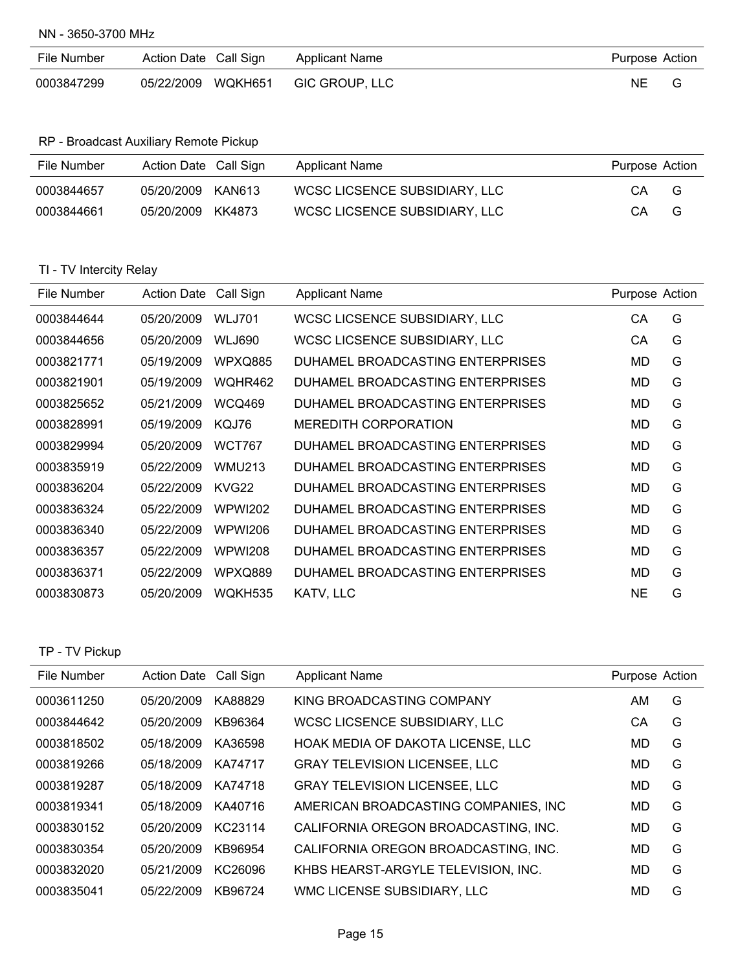NN - 3650-3700 MHz

| File Number | Action Date Call Sign | Applicant Name | Purpose Action |  |
|-------------|-----------------------|----------------|----------------|--|
| 0003847299  | 05/22/2009 WQKH651    | GIC GROUP, LLC | NE             |  |

RP - Broadcast Auxiliary Remote Pickup

| File Number | Action Date Call Sign | Applicant Name                | Purpose Action |
|-------------|-----------------------|-------------------------------|----------------|
| 0003844657  | 05/20/2009<br>KAN613  | WCSC LICSENCE SUBSIDIARY, LLC | СA<br>G        |
| 0003844661  | 05/20/2009<br>KK4873  | WCSC LICSENCE SUBSIDIARY, LLC | СA<br>G        |

## TI - TV Intercity Relay

| File Number | <b>Action Date</b> | Call Sign      | <b>Applicant Name</b>            | Purpose Action |   |
|-------------|--------------------|----------------|----------------------------------|----------------|---|
| 0003844644  | 05/20/2009         | <b>WLJ701</b>  | WCSC LICSENCE SUBSIDIARY, LLC    | СA             | G |
| 0003844656  | 05/20/2009         | <b>WLJ690</b>  | WCSC LICSENCE SUBSIDIARY, LLC    | CA             | G |
| 0003821771  | 05/19/2009         | <b>WPXQ885</b> | DUHAMEL BROADCASTING ENTERPRISES | MD.            | G |
| 0003821901  | 05/19/2009         | WQHR462        | DUHAMEL BROADCASTING ENTERPRISES | MD.            | G |
| 0003825652  | 05/21/2009         | <b>WCQ469</b>  | DUHAMEL BROADCASTING ENTERPRISES | MD.            | G |
| 0003828991  | 05/19/2009         | KQJ76          | MEREDITH CORPORATION             | MD.            | G |
| 0003829994  | 05/20/2009         | <b>WCT767</b>  | DUHAMEL BROADCASTING ENTERPRISES | MD.            | G |
| 0003835919  | 05/22/2009         | <b>WMU213</b>  | DUHAMEL BROADCASTING ENTERPRISES | MD             | G |
| 0003836204  | 05/22/2009         | KVG22          | DUHAMEL BROADCASTING ENTERPRISES | MD             | G |
| 0003836324  | 05/22/2009         | WPWI202        | DUHAMEL BROADCASTING ENTERPRISES | MD.            | G |
| 0003836340  | 05/22/2009         | <b>WPWI206</b> | DUHAMEL BROADCASTING ENTERPRISES | MD             | G |
| 0003836357  | 05/22/2009         | WPWI208        | DUHAMEL BROADCASTING ENTERPRISES | MD             | G |
| 0003836371  | 05/22/2009         | <b>WPXQ889</b> | DUHAMEL BROADCASTING ENTERPRISES | MD.            | G |
| 0003830873  | 05/20/2009         | WOKH535        | KATV, LLC                        | <b>NE</b>      | G |

#### TP - TV Pickup

| File Number | <b>Action Date</b> | Call Sign | <b>Applicant Name</b>                | Purpose Action |   |
|-------------|--------------------|-----------|--------------------------------------|----------------|---|
| 0003611250  | 05/20/2009         | KA88829   | KING BROADCASTING COMPANY            | AM             | G |
| 0003844642  | 05/20/2009         | KB96364   | WCSC LICSENCE SUBSIDIARY, LLC        | СA             | G |
| 0003818502  | 05/18/2009         | KA36598   | HOAK MEDIA OF DAKOTA LICENSE, LLC    | MD             | G |
| 0003819266  | 05/18/2009         | KA74717   | <b>GRAY TELEVISION LICENSEE, LLC</b> | MD             | G |
| 0003819287  | 05/18/2009         | KA74718   | <b>GRAY TELEVISION LICENSEE, LLC</b> | MD             | G |
| 0003819341  | 05/18/2009         | KA40716   | AMERICAN BROADCASTING COMPANIES, INC | MD             | G |
| 0003830152  | 05/20/2009         | KC23114   | CALIFORNIA OREGON BROADCASTING, INC. | MD             | G |
| 0003830354  | 05/20/2009         | KB96954   | CALIFORNIA OREGON BROADCASTING, INC. | MD             | G |
| 0003832020  | 05/21/2009         | KC26096   | KHBS HEARST-ARGYLE TELEVISION, INC.  | MD             | G |
| 0003835041  | 05/22/2009         | KB96724   | WMC LICENSE SUBSIDIARY, LLC          | MD             | G |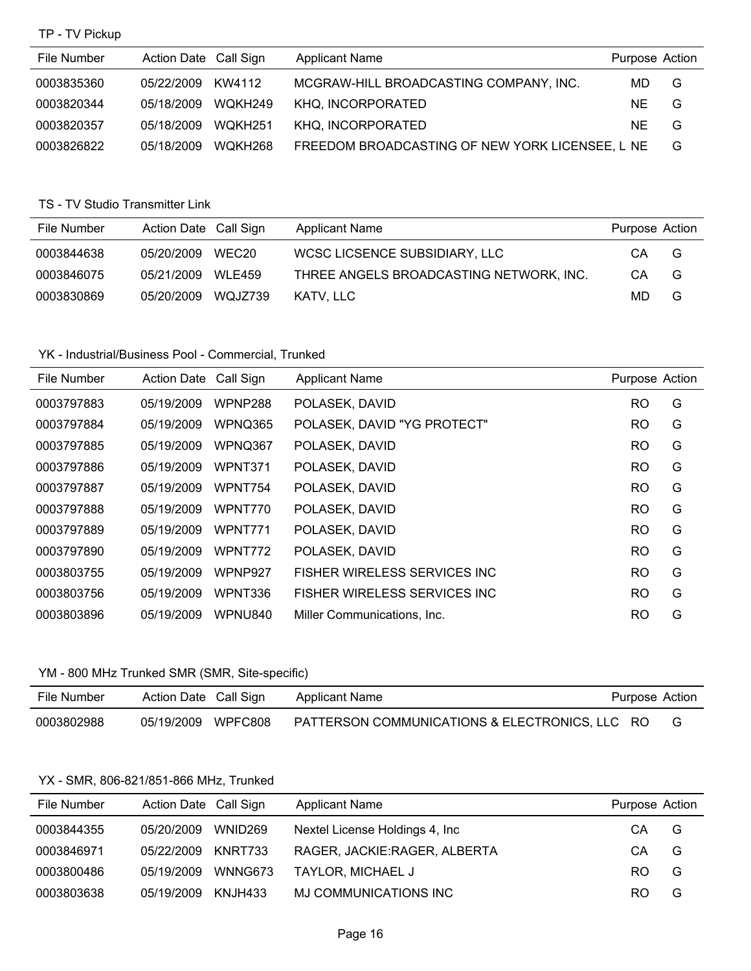#### TP - TV Pickup

| File Number | Action Date Call Sign |         | <b>Applicant Name</b>                           | Purpose Action |   |
|-------------|-----------------------|---------|-------------------------------------------------|----------------|---|
| 0003835360  | 05/22/2009            | KW4112  | MCGRAW-HILL BROADCASTING COMPANY, INC.          | MD.            | G |
| 0003820344  | 05/18/2009            | WQKH249 | KHQ. INCORPORATED                               | NF.            | G |
| 0003820357  | 05/18/2009            | WQKH251 | KHQ, INCORPORATED                               | NF.            | G |
| 0003826822  | 05/18/2009            | WOKH268 | FREEDOM BROADCASTING OF NEW YORK LICENSEE, L NE |                | G |

### TS - TV Studio Transmitter Link

| File Number | Action Date Call Sign |                   | <b>Applicant Name</b>                   | Purpose Action |   |
|-------------|-----------------------|-------------------|-----------------------------------------|----------------|---|
| 0003844638  | 05/20/2009            | WEC <sub>20</sub> | WCSC LICSENCE SUBSIDIARY, LLC           | CА             | G |
| 0003846075  | 05/21/2009            | <b>WLE459</b>     | THREE ANGELS BROADCASTING NETWORK, INC. | CА             | G |
| 0003830869  | 05/20/2009            | WQJZ739           | KATV. LLC                               | MD.            | G |

#### YK - Industrial/Business Pool - Commercial, Trunked

| File Number | <b>Action Date</b> | Call Sign      | <b>Applicant Name</b>         | Purpose Action |   |
|-------------|--------------------|----------------|-------------------------------|----------------|---|
| 0003797883  | 05/19/2009         | WPNP288        | POLASEK, DAVID                | <b>RO</b>      | G |
| 0003797884  | 05/19/2009         | WPNQ365        | POLASEK, DAVID "YG PROTECT"   | <b>RO</b>      | G |
| 0003797885  | 05/19/2009         | WPNQ367        | POLASEK, DAVID                | <b>RO</b>      | G |
| 0003797886  | 05/19/2009         | WPNT371        | POLASEK, DAVID                | <b>RO</b>      | G |
| 0003797887  | 05/19/2009         | WPNT754        | POLASEK, DAVID                | <b>RO</b>      | G |
| 0003797888  | 05/19/2009         | WPNT770        | POLASEK, DAVID                | <b>RO</b>      | G |
| 0003797889  | 05/19/2009         | WPNT771        | POLASEK, DAVID                | <b>RO</b>      | G |
| 0003797890  | 05/19/2009         | WPNT772        | POLASEK, DAVID                | <b>RO</b>      | G |
| 0003803755  | 05/19/2009         | <b>WPNP927</b> | FISHER WIRELESS SERVICES INC. | <b>RO</b>      | G |
| 0003803756  | 05/19/2009         | WPNT336        | FISHER WIRELESS SERVICES INC. | <b>RO</b>      | G |
| 0003803896  | 05/19/2009         | WPNU840        | Miller Communications. Inc.   | <b>RO</b>      | G |

### YM - 800 MHz Trunked SMR (SMR, Site-specific)

| File Number | Action Date Call Sign | Applicant Name                                 | Purpose Action |  |
|-------------|-----------------------|------------------------------------------------|----------------|--|
| 0003802988  | 05/19/2009 WPFC808    | PATTERSON COMMUNICATIONS & ELECTRONICS, LLC RO |                |  |

# YX - SMR, 806-821/851-866 MHz, Trunked

| File Number | Action Date Call Sign |         | <b>Applicant Name</b>           | Purpose Action |   |
|-------------|-----------------------|---------|---------------------------------|----------------|---|
| 0003844355  | 05/20/2009            | WNID269 | Nextel License Holdings 4, Inc. | CA.            | G |
| 0003846971  | 05/22/2009            | KNRT733 | RAGER, JACKIE:RAGER, ALBERTA    | CA.            | G |
| 0003800486  | 05/19/2009            | WNNG673 | <b>TAYLOR, MICHAEL J</b>        | RO.            | G |
| 0003803638  | 05/19/2009            | KNJH433 | MJ COMMUNICATIONS INC           | RO.            | G |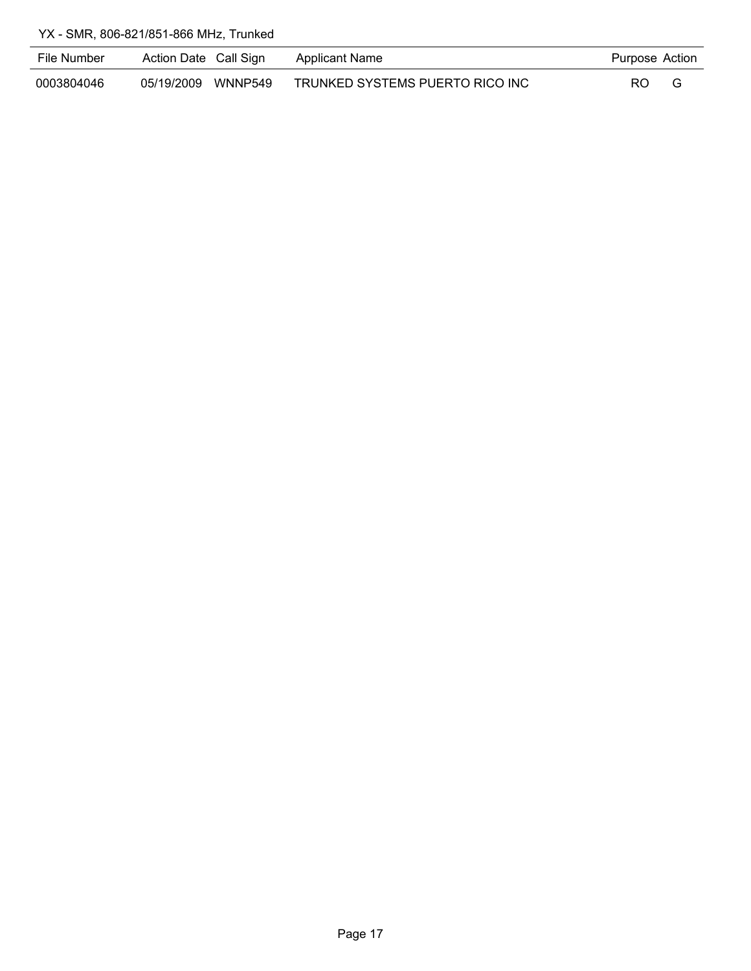| File Number | Action Date Call Sign |         | Applicant Name                  | Purpose Action |  |
|-------------|-----------------------|---------|---------------------------------|----------------|--|
| 0003804046  | 05/19/2009            | WNNP549 | TRUNKED SYSTEMS PUERTO RICO INC | RO             |  |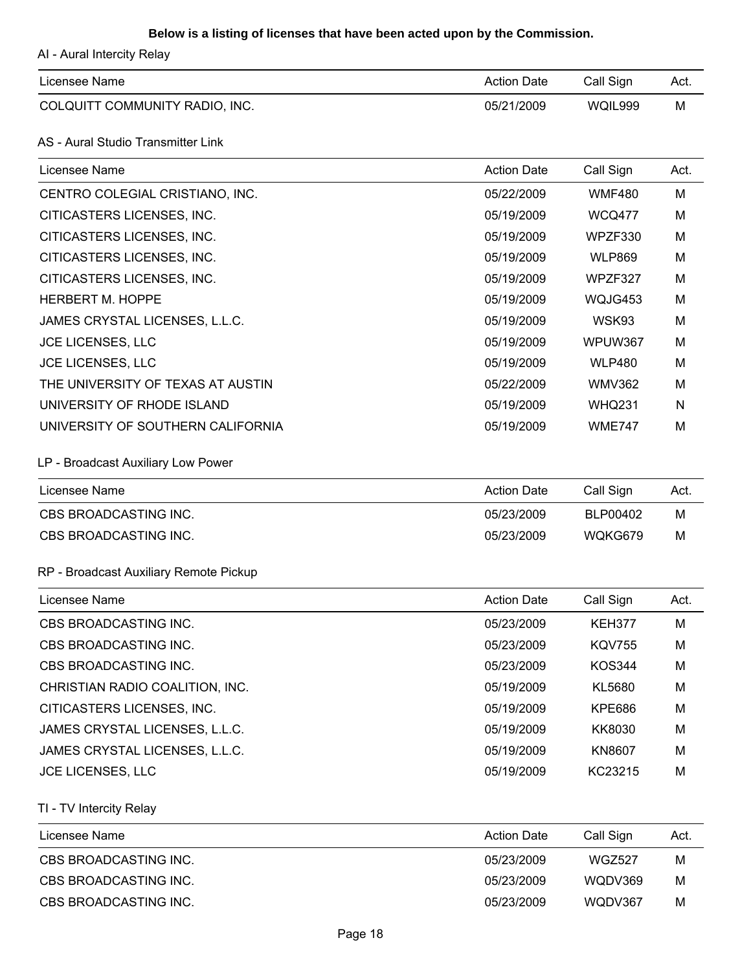## **Below is a listing of licenses that have been acted upon by the Commission.**

AI - Aural Intercity Relay

| Licensee Name                  | <b>Action Date</b> | Call Sign | Act. |
|--------------------------------|--------------------|-----------|------|
| COLQUITT COMMUNITY RADIO, INC. | 05/21/2009         | WQIL999   | M    |

## AS - Aural Studio Transmitter Link

| Licensee Name                     | <b>Action Date</b> | Call Sign     | Act. |
|-----------------------------------|--------------------|---------------|------|
| CENTRO COLEGIAL CRISTIANO, INC.   | 05/22/2009         | <b>WMF480</b> | M    |
| CITICASTERS LICENSES, INC.        | 05/19/2009         | <b>WCQ477</b> | M    |
| CITICASTERS LICENSES, INC.        | 05/19/2009         | WPZF330       | M    |
| CITICASTERS LICENSES, INC.        | 05/19/2009         | <b>WLP869</b> | M    |
| CITICASTERS LICENSES, INC.        | 05/19/2009         | WPZF327       | M    |
| <b>HERBERT M. HOPPE</b>           | 05/19/2009         | WQJG453       | M    |
| JAMES CRYSTAL LICENSES, L.L.C.    | 05/19/2009         | WSK93         | M    |
| <b>JCE LICENSES, LLC</b>          | 05/19/2009         | WPUW367       | M    |
| <b>JCE LICENSES, LLC</b>          | 05/19/2009         | <b>WLP480</b> | M    |
| THE UNIVERSITY OF TEXAS AT AUSTIN | 05/22/2009         | <b>WMV362</b> | M    |
| UNIVERSITY OF RHODE ISLAND        | 05/19/2009         | <b>WHQ231</b> | N    |
| UNIVERSITY OF SOUTHERN CALIFORNIA | 05/19/2009         | <b>WME747</b> | M    |

LP - Broadcast Auxiliary Low Power

| Licensee Name         | <b>Action Date</b> | Call Sign | Act. |
|-----------------------|--------------------|-----------|------|
| CBS BROADCASTING INC. | 05/23/2009         | BLP00402  | м    |
| CBS BROADCASTING INC. | 05/23/2009         | WQKG679   | M    |

#### RP - Broadcast Auxiliary Remote Pickup

| Licensee Name                   | <b>Action Date</b> | Call Sign     | Act. |
|---------------------------------|--------------------|---------------|------|
| CBS BROADCASTING INC.           | 05/23/2009         | <b>KEH377</b> | M    |
| CBS BROADCASTING INC.           | 05/23/2009         | <b>KOV755</b> | M    |
| CBS BROADCASTING INC.           | 05/23/2009         | <b>KOS344</b> | M    |
| CHRISTIAN RADIO COALITION, INC. | 05/19/2009         | KL5680        | M    |
| CITICASTERS LICENSES, INC.      | 05/19/2009         | KPE686        | M    |
| JAMES CRYSTAL LICENSES, L.L.C.  | 05/19/2009         | KK8030        | M    |
| JAMES CRYSTAL LICENSES, L.L.C.  | 05/19/2009         | KN8607        | M    |
| <b>JCE LICENSES, LLC</b>        | 05/19/2009         | KC23215       | M    |

TI - TV Intercity Relay

| Licensee Name         | <b>Action Date</b> | Call Sign | Act. |
|-----------------------|--------------------|-----------|------|
| CBS BROADCASTING INC. | 05/23/2009         | WGZ527    | м    |
| CBS BROADCASTING INC. | 05/23/2009         | WODV369   | M    |
| CBS BROADCASTING INC. | 05/23/2009         | WODV367   | M    |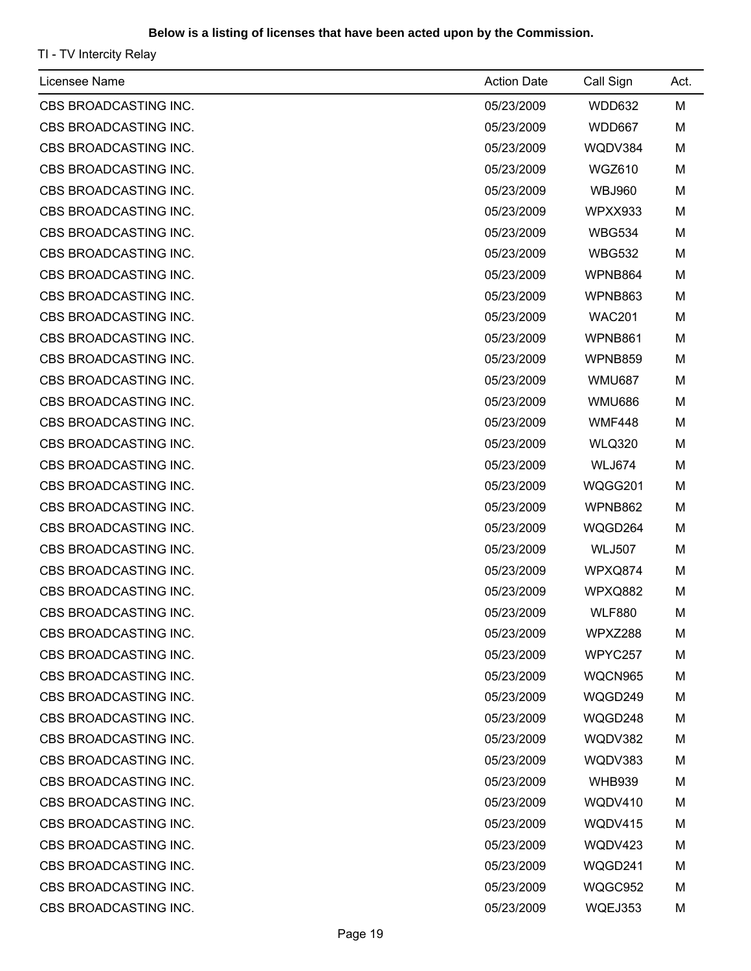## **Below is a listing of licenses that have been acted upon by the Commission.**

TI - TV Intercity Relay

| Licensee Name                | <b>Action Date</b> | Call Sign     | Act. |
|------------------------------|--------------------|---------------|------|
| CBS BROADCASTING INC.        | 05/23/2009         | WDD632        | M    |
| CBS BROADCASTING INC.        | 05/23/2009         | WDD667        | M    |
| CBS BROADCASTING INC.        | 05/23/2009         | WQDV384       | M    |
| CBS BROADCASTING INC.        | 05/23/2009         | WGZ610        | M    |
| CBS BROADCASTING INC.        | 05/23/2009         | <b>WBJ960</b> | M    |
| CBS BROADCASTING INC.        | 05/23/2009         | WPXX933       | M    |
| CBS BROADCASTING INC.        | 05/23/2009         | <b>WBG534</b> | M    |
| CBS BROADCASTING INC.        | 05/23/2009         | <b>WBG532</b> | M    |
| CBS BROADCASTING INC.        | 05/23/2009         | WPNB864       | M    |
| CBS BROADCASTING INC.        | 05/23/2009         | WPNB863       | M    |
| CBS BROADCASTING INC.        | 05/23/2009         | <b>WAC201</b> | M    |
| CBS BROADCASTING INC.        | 05/23/2009         | WPNB861       | M    |
| CBS BROADCASTING INC.        | 05/23/2009         | WPNB859       | M    |
| <b>CBS BROADCASTING INC.</b> | 05/23/2009         | <b>WMU687</b> | M    |
| CBS BROADCASTING INC.        | 05/23/2009         | <b>WMU686</b> | M    |
| CBS BROADCASTING INC.        | 05/23/2009         | <b>WMF448</b> | M    |
| CBS BROADCASTING INC.        | 05/23/2009         | <b>WLQ320</b> | M    |
| CBS BROADCASTING INC.        | 05/23/2009         | WLJ674        | M    |
| CBS BROADCASTING INC.        | 05/23/2009         | WQGG201       | M    |
| CBS BROADCASTING INC.        | 05/23/2009         | WPNB862       | M    |
| CBS BROADCASTING INC.        | 05/23/2009         | WQGD264       | M    |
| CBS BROADCASTING INC.        | 05/23/2009         | <b>WLJ507</b> | M    |
| CBS BROADCASTING INC.        | 05/23/2009         | WPXQ874       | M    |
| CBS BROADCASTING INC.        | 05/23/2009         | WPXQ882       | M    |
| CBS BROADCASTING INC.        | 05/23/2009         | <b>WLF880</b> | М    |
| CBS BROADCASTING INC.        | 05/23/2009         | WPXZ288       | M    |
| CBS BROADCASTING INC.        | 05/23/2009         | WPYC257       | M    |
| CBS BROADCASTING INC.        | 05/23/2009         | WQCN965       | M    |
| CBS BROADCASTING INC.        | 05/23/2009         | WQGD249       | M    |
| CBS BROADCASTING INC.        | 05/23/2009         | WQGD248       | M    |
| CBS BROADCASTING INC.        | 05/23/2009         | WQDV382       | M    |
| CBS BROADCASTING INC.        | 05/23/2009         | WQDV383       | M    |
| CBS BROADCASTING INC.        | 05/23/2009         | <b>WHB939</b> | M    |
| CBS BROADCASTING INC.        | 05/23/2009         | WQDV410       | M    |
| CBS BROADCASTING INC.        | 05/23/2009         | WQDV415       | M    |
| CBS BROADCASTING INC.        | 05/23/2009         | WQDV423       | M    |
| CBS BROADCASTING INC.        | 05/23/2009         | WQGD241       | M    |
| CBS BROADCASTING INC.        | 05/23/2009         | WQGC952       | M    |
| CBS BROADCASTING INC.        | 05/23/2009         | WQEJ353       | M    |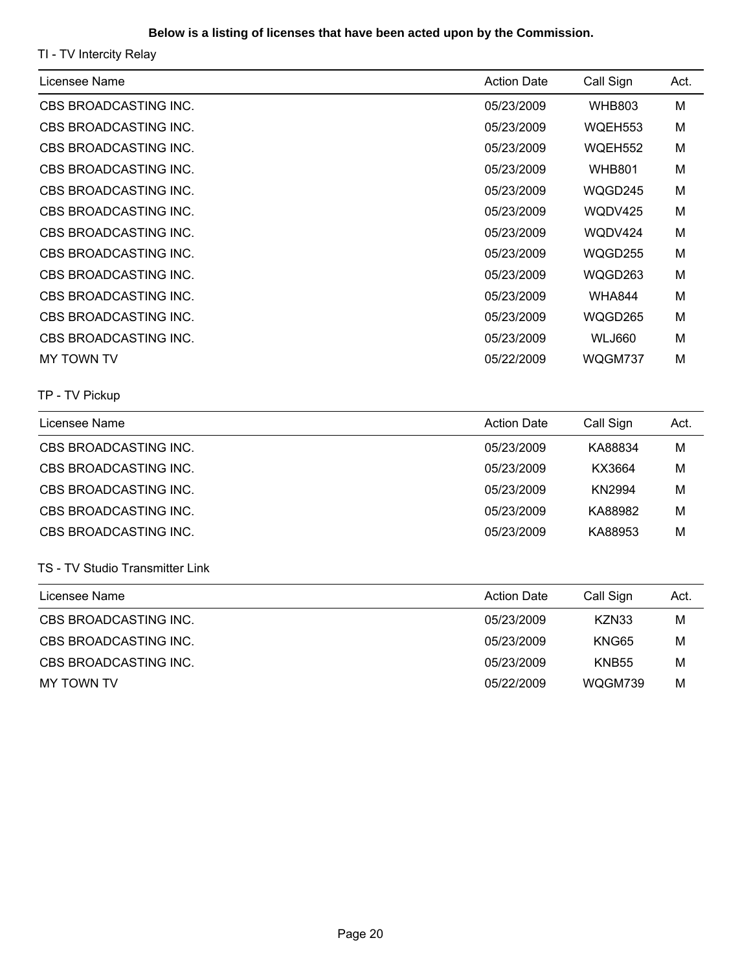### **Below is a listing of licenses that have been acted upon by the Commission.**

TI - TV Intercity Relay

| Licensee Name         | <b>Action Date</b> | Call Sign     | Act. |
|-----------------------|--------------------|---------------|------|
| CBS BROADCASTING INC. | 05/23/2009         | <b>WHB803</b> | м    |
| CBS BROADCASTING INC. | 05/23/2009         | WQEH553       | м    |
| CBS BROADCASTING INC. | 05/23/2009         | WQEH552       | M    |
| CBS BROADCASTING INC. | 05/23/2009         | <b>WHB801</b> | M    |
| CBS BROADCASTING INC. | 05/23/2009         | WQGD245       | M    |
| CBS BROADCASTING INC. | 05/23/2009         | WQDV425       | M    |
| CBS BROADCASTING INC. | 05/23/2009         | WODV424       | M    |
| CBS BROADCASTING INC. | 05/23/2009         | WQGD255       | M    |
| CBS BROADCASTING INC. | 05/23/2009         | WQGD263       | M    |
| CBS BROADCASTING INC. | 05/23/2009         | <b>WHA844</b> | M    |
| CBS BROADCASTING INC. | 05/23/2009         | WQGD265       | M    |
| CBS BROADCASTING INC. | 05/23/2009         | WLJ660        | M    |
| MY TOWN TV            | 05/22/2009         | WQGM737       | м    |

## TP - TV Pickup

| Licensee Name         | <b>Action Date</b> | Call Sign | Act. |
|-----------------------|--------------------|-----------|------|
| CBS BROADCASTING INC. | 05/23/2009         | KA88834   | M    |
| CBS BROADCASTING INC. | 05/23/2009         | KX3664    | M    |
| CBS BROADCASTING INC. | 05/23/2009         | KN2994    | м    |
| CBS BROADCASTING INC. | 05/23/2009         | KA88982   | м    |
| CBS BROADCASTING INC. | 05/23/2009         | KA88953   | M    |

## TS - TV Studio Transmitter Link

| Licensee Name         | <b>Action Date</b> | Call Sign    | Act. |
|-----------------------|--------------------|--------------|------|
| CBS BROADCASTING INC. | 05/23/2009         | KZN33        | M    |
| CBS BROADCASTING INC. | 05/23/2009         | KNG65        | M    |
| CBS BROADCASTING INC. | 05/23/2009         | <b>KNB55</b> | M    |
| MY TOWN TV            | 05/22/2009         | WQGM739      | м    |